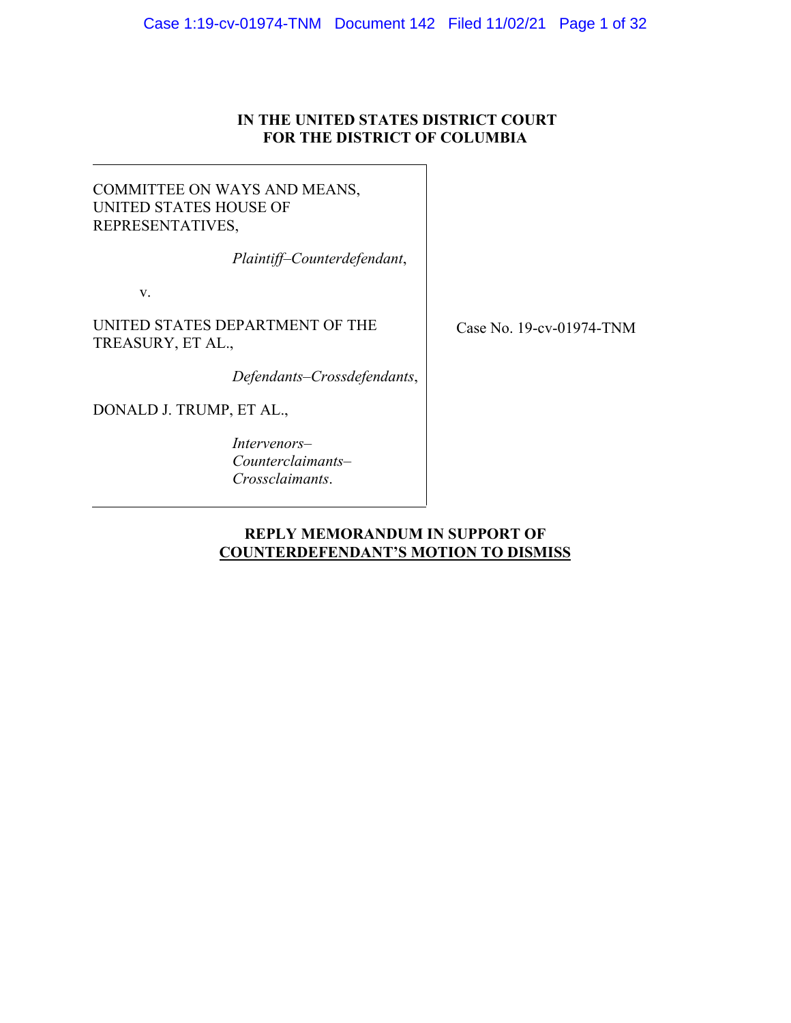# **IN THE UNITED STATES DISTRICT COURT FOR THE DISTRICT OF COLUMBIA**

# <span id="page-0-0"></span>COMMITTEE ON WAYS AND MEANS, UNITED STATES HOUSE OF REPRESENTATIVES,

*Plaintiff–Counterdefendant*,

v.

UNITED STATES DEPARTMENT OF THE TREASURY, ET AL.,

*Defendants–Crossdefendants*,

DONALD J. TRUMP, ET AL.,

*Intervenors– Counterclaimants– Crossclaimants*.

Case No. 19-cv-01974-TNM

# **REPLY MEMORANDUM IN SUPPORT OF COUNTERDEFENDANT'S MOTION TO DISMISS**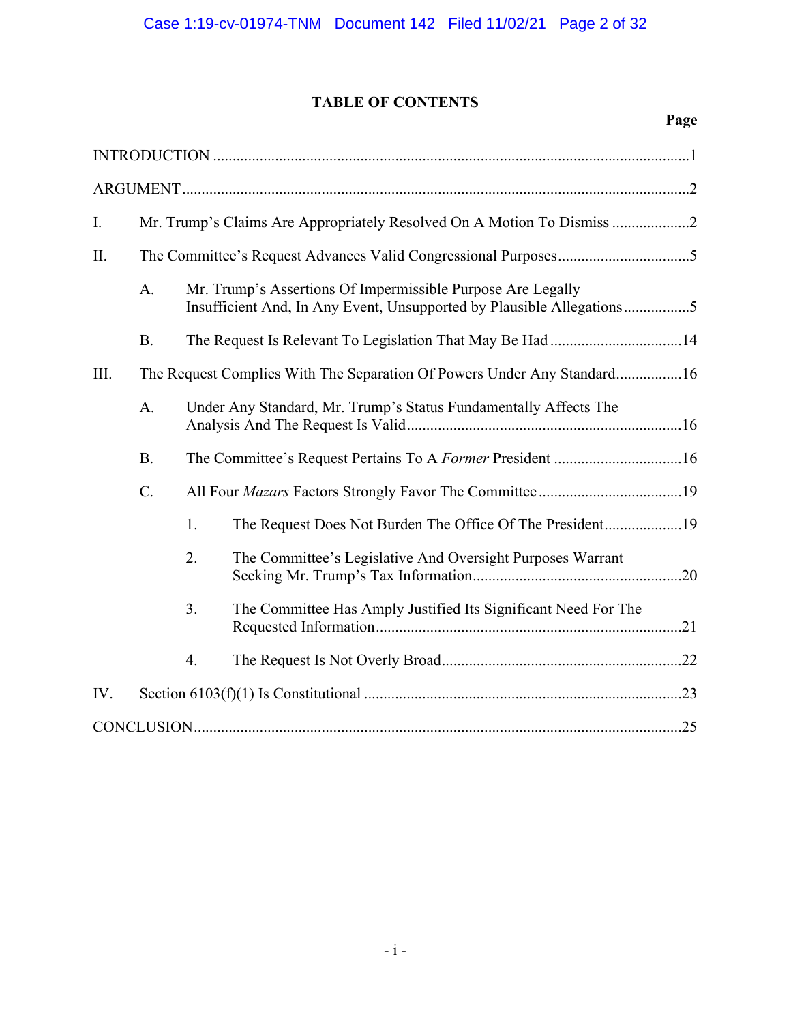# **TABLE OF CONTENTS**

|--|

| I.   | Mr. Trump's Claims Are Appropriately Resolved On A Motion To Dismiss    |    |                                                                                                                                      |  |  |  |  |
|------|-------------------------------------------------------------------------|----|--------------------------------------------------------------------------------------------------------------------------------------|--|--|--|--|
| II.  |                                                                         |    |                                                                                                                                      |  |  |  |  |
|      | A.                                                                      |    | Mr. Trump's Assertions Of Impermissible Purpose Are Legally<br>Insufficient And, In Any Event, Unsupported by Plausible Allegations5 |  |  |  |  |
|      | <b>B.</b>                                                               |    |                                                                                                                                      |  |  |  |  |
| III. | The Request Complies With The Separation Of Powers Under Any Standard16 |    |                                                                                                                                      |  |  |  |  |
|      | A.                                                                      |    | Under Any Standard, Mr. Trump's Status Fundamentally Affects The                                                                     |  |  |  |  |
|      | <b>B.</b>                                                               |    |                                                                                                                                      |  |  |  |  |
|      | C.                                                                      |    |                                                                                                                                      |  |  |  |  |
|      |                                                                         | 1. | The Request Does Not Burden The Office Of The President19                                                                            |  |  |  |  |
|      |                                                                         | 2. | The Committee's Legislative And Oversight Purposes Warrant                                                                           |  |  |  |  |
|      |                                                                         | 3. | The Committee Has Amply Justified Its Significant Need For The                                                                       |  |  |  |  |
|      |                                                                         | 4. |                                                                                                                                      |  |  |  |  |
| IV.  |                                                                         |    |                                                                                                                                      |  |  |  |  |
|      |                                                                         |    |                                                                                                                                      |  |  |  |  |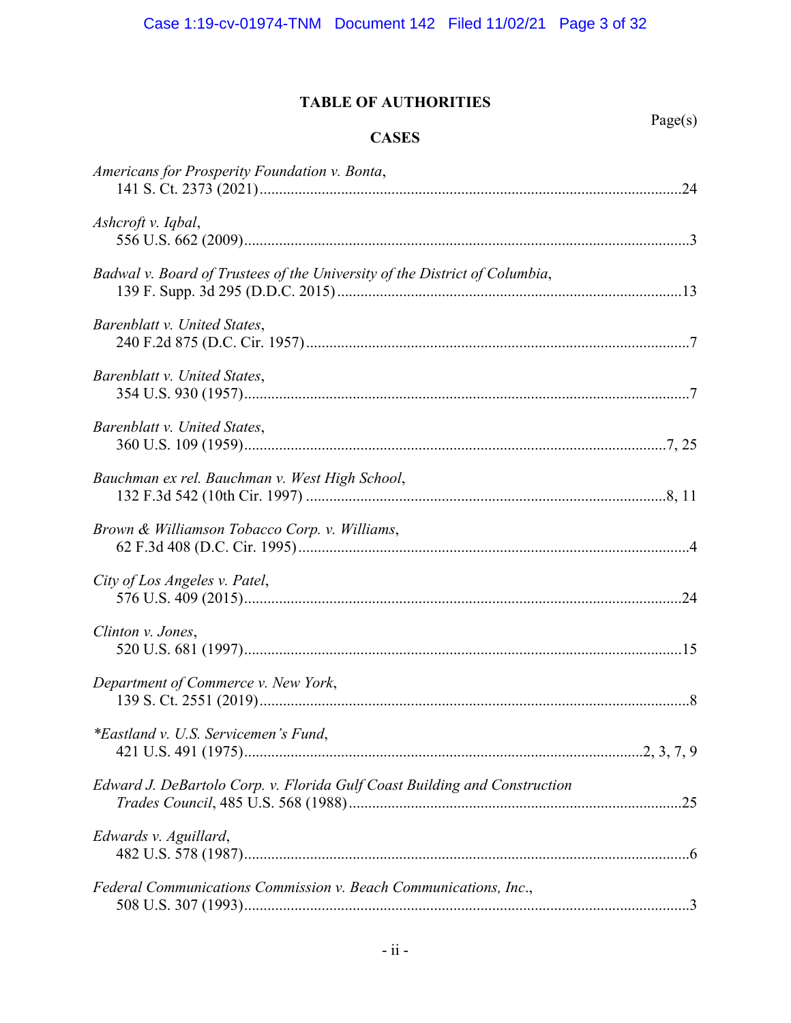# **TABLE OF AUTHORITIES**

| ager | S |
|------|---|
|      |   |

| Americans for Prosperity Foundation v. Bonta,                              |
|----------------------------------------------------------------------------|
| Ashcroft v. Iqbal,                                                         |
| Badwal v. Board of Trustees of the University of the District of Columbia, |
| Barenblatt v. United States,                                               |
| Barenblatt v. United States,                                               |
| Barenblatt v. United States,                                               |
| Bauchman ex rel. Bauchman v. West High School,                             |
| Brown & Williamson Tobacco Corp. v. Williams,                              |
| City of Los Angeles v. Patel,                                              |
| Clinton v. Jones,                                                          |
| Department of Commerce v. New York,                                        |
| *Eastland v. U.S. Servicemen's Fund,                                       |
| Edward J. DeBartolo Corp. v. Florida Gulf Coast Building and Construction  |
| Edwards v. Aguillard,                                                      |
| Federal Communications Commission v. Beach Communications, Inc.,           |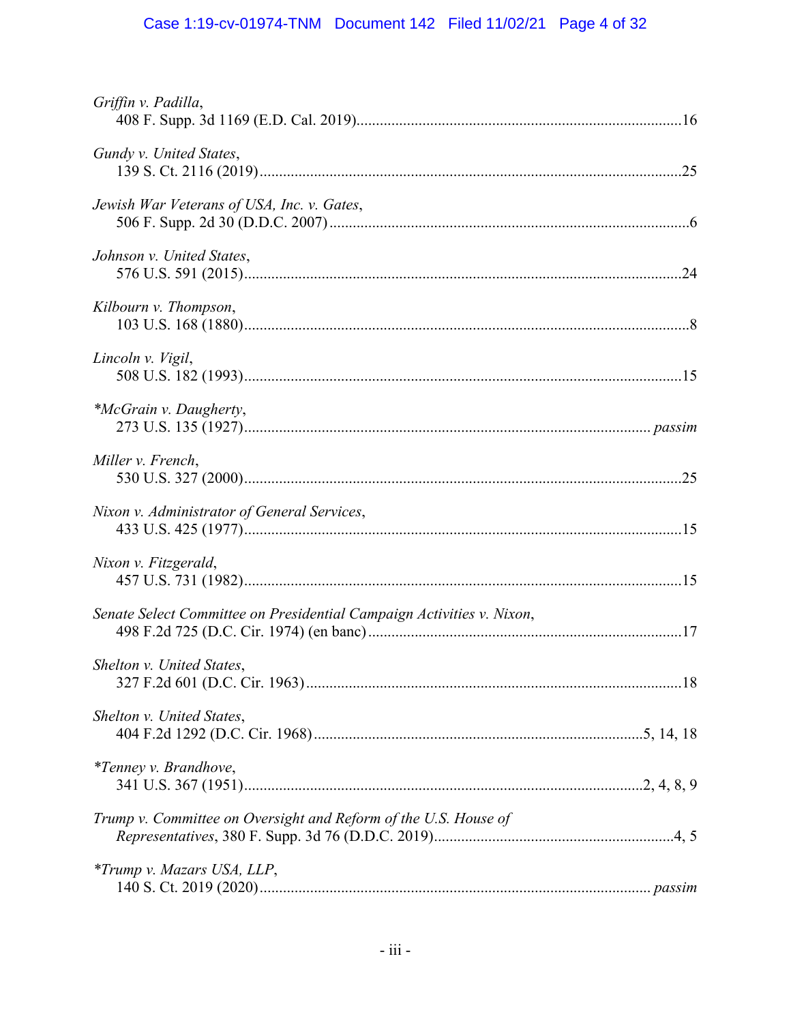# Case 1:19-cv-01974-TNM Document 142 Filed 11/02/21 Page 4 of 32

<span id="page-3-0"></span>

| Griffin v. Padilla,                                                   |  |
|-----------------------------------------------------------------------|--|
| Gundy v. United States,                                               |  |
| Jewish War Veterans of USA, Inc. v. Gates,                            |  |
| Johnson v. United States,                                             |  |
| Kilbourn v. Thompson,                                                 |  |
| Lincoln v. Vigil,                                                     |  |
| *McGrain v. Daugherty,                                                |  |
| Miller v. French,                                                     |  |
| Nixon v. Administrator of General Services,                           |  |
| Nixon v. Fitzgerald,                                                  |  |
| Senate Select Committee on Presidential Campaign Activities v. Nixon, |  |
| Shelton v. United States,                                             |  |
| Shelton v. United States,                                             |  |
| <i>*Tenney v. Brandhove,</i>                                          |  |
| Trump v. Committee on Oversight and Reform of the U.S. House of       |  |
| <i>*Trump v. Mazars USA, LLP,</i>                                     |  |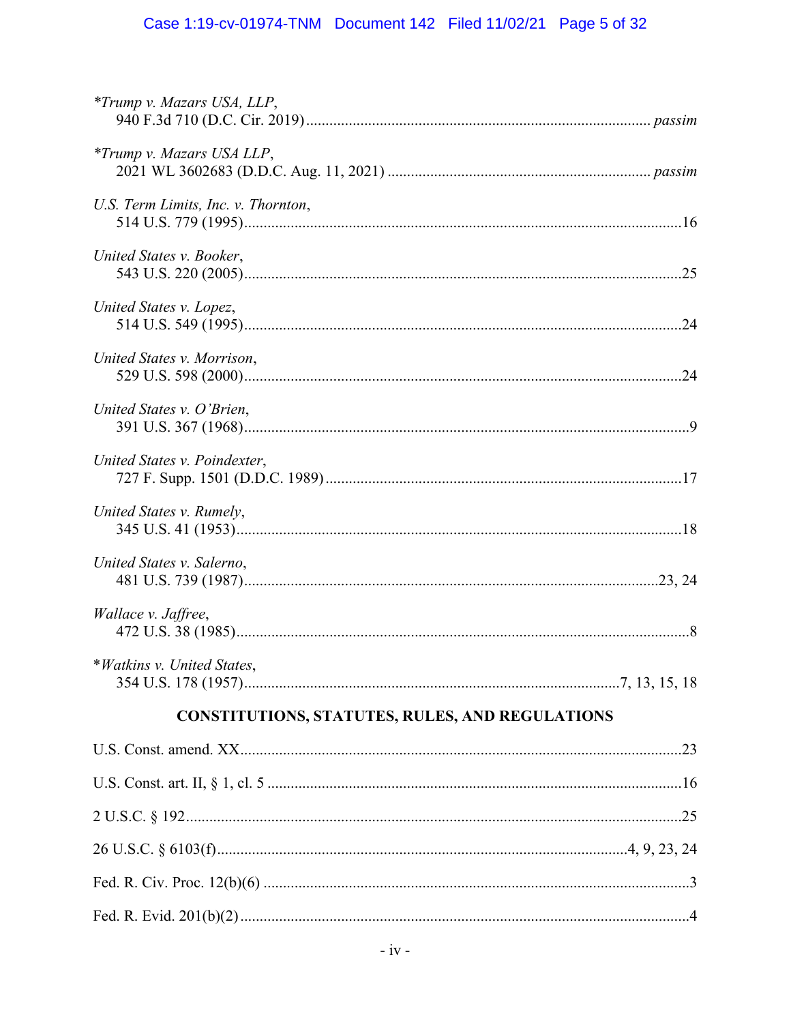# Case 1:19-cv-01974-TNM Document 142 Filed 11/02/21 Page 5 of 32

| <i>*Trump v. Mazars USA, LLP,</i>                      |  |
|--------------------------------------------------------|--|
| <i>*Trump v. Mazars USA LLP,</i>                       |  |
| U.S. Term Limits, Inc. v. Thornton,                    |  |
| United States v. Booker,                               |  |
| United States v. Lopez,                                |  |
| United States v. Morrison,                             |  |
| United States v. O'Brien,                              |  |
| United States v. Poindexter,                           |  |
| United States v. Rumely,                               |  |
| United States v. Salerno,                              |  |
| Wallace v. Jaffree,                                    |  |
| *Watkins v. United States,                             |  |
| <b>CONSTITUTIONS, STATUTES, RULES, AND REGULATIONS</b> |  |
|                                                        |  |
|                                                        |  |
|                                                        |  |
|                                                        |  |
|                                                        |  |
|                                                        |  |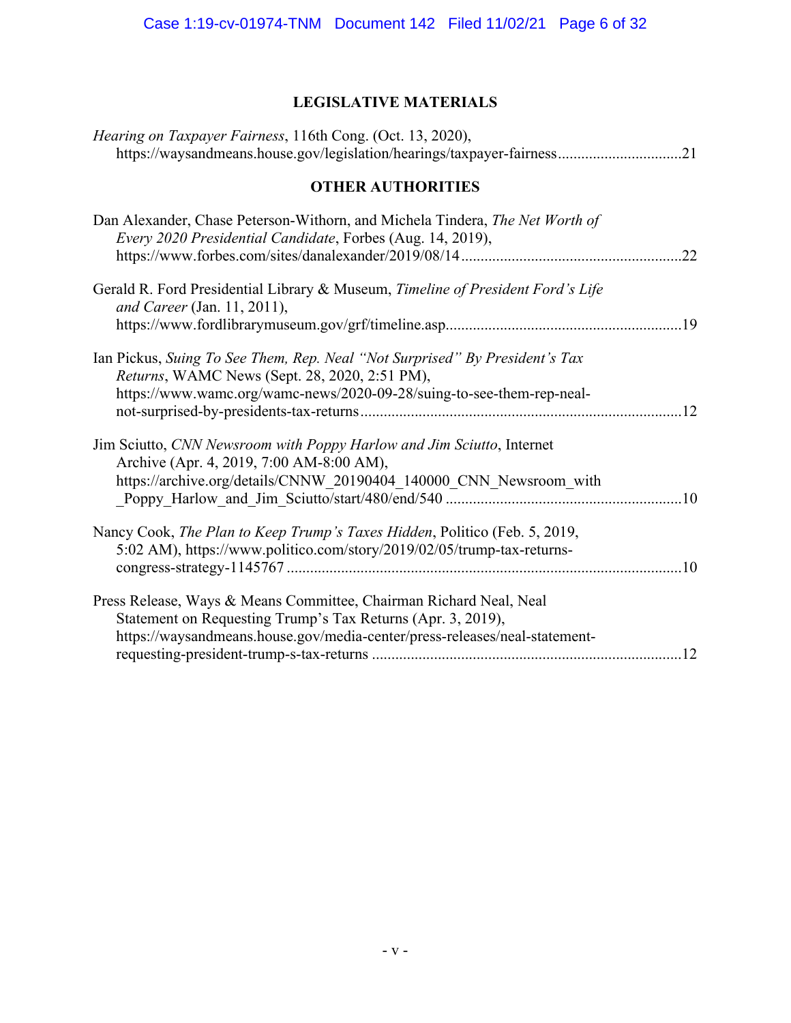# **LEGISLATIVE MATERIALS**

| Hearing on Taxpayer Fairness, 116th Cong. (Oct. 13, 2020),<br>https://waysandmeans.house.gov/legislation/hearings/taxpayer-fairness21                                                                           |
|-----------------------------------------------------------------------------------------------------------------------------------------------------------------------------------------------------------------|
| <b>OTHER AUTHORITIES</b>                                                                                                                                                                                        |
| Dan Alexander, Chase Peterson-Withorn, and Michela Tindera, The Net Worth of<br>Every 2020 Presidential Candidate, Forbes (Aug. 14, 2019),<br>.22                                                               |
| Gerald R. Ford Presidential Library & Museum, Timeline of President Ford's Life<br>and Career (Jan. 11, 2011),                                                                                                  |
| Ian Pickus, Suing To See Them, Rep. Neal "Not Surprised" By President's Tax<br>Returns, WAMC News (Sept. 28, 2020, 2:51 PM),<br>https://www.wamc.org/wamc-news/2020-09-28/suing-to-see-them-rep-neal-           |
| Jim Sciutto, CNN Newsroom with Poppy Harlow and Jim Sciutto, Internet<br>Archive (Apr. 4, 2019, 7:00 AM-8:00 AM),<br>https://archive.org/details/CNNW_20190404_140000_CNN_Newsroom_with                         |
| Nancy Cook, The Plan to Keep Trump's Taxes Hidden, Politico (Feb. 5, 2019,<br>5:02 AM), https://www.politico.com/story/2019/02/05/trump-tax-returns-                                                            |
| Press Release, Ways & Means Committee, Chairman Richard Neal, Neal<br>Statement on Requesting Trump's Tax Returns (Apr. 3, 2019),<br>https://waysandmeans.house.gov/media-center/press-releases/neal-statement- |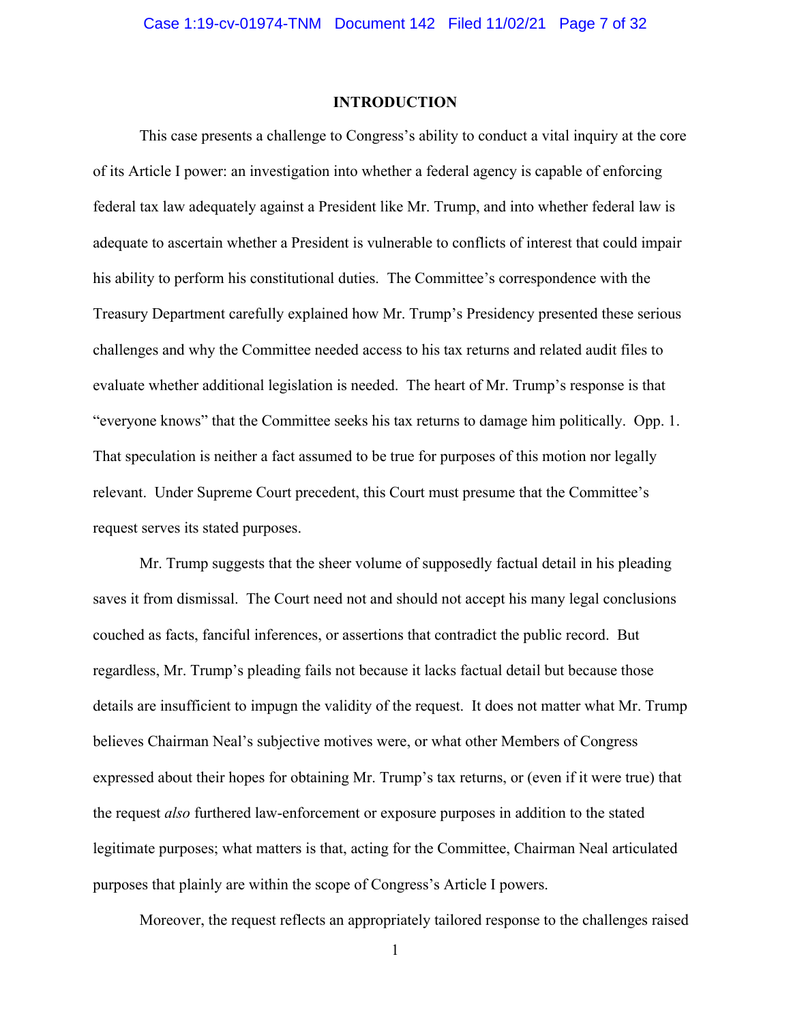#### **INTRODUCTION**

This case presents a challenge to Congress's ability to conduct a vital inquiry at the core of its Article I power: an investigation into whether a federal agency is capable of enforcing federal tax law adequately against a President like Mr. Trump, and into whether federal law is adequate to ascertain whether a President is vulnerable to conflicts of interest that could impair his ability to perform his constitutional duties. The Committee's correspondence with the Treasury Department carefully explained how Mr. Trump's Presidency presented these serious challenges and why the Committee needed access to his tax returns and related audit files to evaluate whether additional legislation is needed. The heart of Mr. Trump's response is that "everyone knows" that the Committee seeks his tax returns to damage him politically. Opp. 1. That speculation is neither a fact assumed to be true for purposes of this motion nor legally relevant. Under Supreme Court precedent, this Court must presume that the Committee's request serves its stated purposes.

Mr. Trump suggests that the sheer volume of supposedly factual detail in his pleading saves it from dismissal. The Court need not and should not accept his many legal conclusions couched as facts, fanciful inferences, or assertions that contradict the public record. But regardless, Mr. Trump's pleading fails not because it lacks factual detail but because those details are insufficient to impugn the validity of the request. It does not matter what Mr. Trump believes Chairman Neal's subjective motives were, or what other Members of Congress expressed about their hopes for obtaining Mr. Trump's tax returns, or (even if it were true) that the request *also* furthered law-enforcement or exposure purposes in addition to the stated legitimate purposes; what matters is that, acting for the Committee, Chairman Neal articulated purposes that plainly are within the scope of Congress's Article I powers.

Moreover, the request reflects an appropriately tailored response to the challenges raised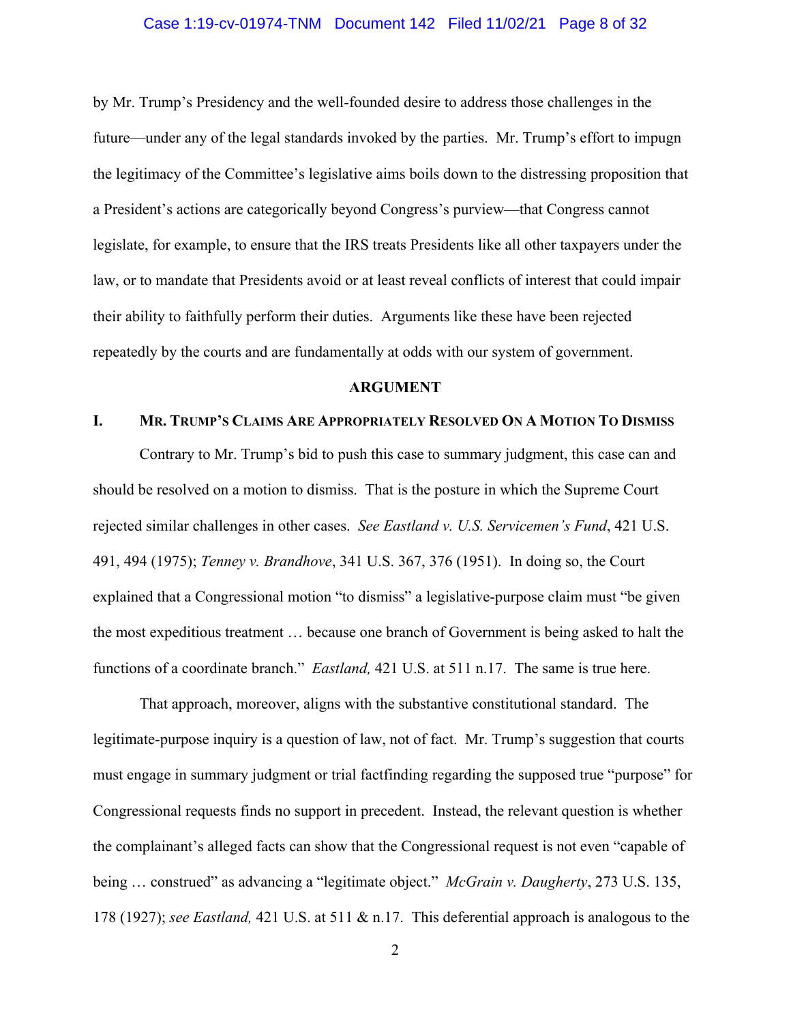#### Case 1:19-cv-01974-TNM Document 142 Filed 11/02/21 Page 8 of 32

by Mr. Trump's Presidency and the well-founded desire to address those challenges in the future—under any of the legal standards invoked by the parties. Mr. Trump's effort to impugn the legitimacy of the Committee's legislative aims boils down to the distressing proposition that a President's actions are categorically beyond Congress's purview—that Congress cannot legislate, for example, to ensure that the IRS treats Presidents like all other taxpayers under the law, or to mandate that Presidents avoid or at least reveal conflicts of interest that could impair their ability to faithfully perform their duties. Arguments like these have been rejected repeatedly by the courts and are fundamentally at odds with our system of government.

#### **ARGUMENT**

#### **I. MR. TRUMP'S CLAIMS ARE APPROPRIATELY RESOLVED ON A MOTION TO DISMISS**

Contrary to Mr. Trump's bid to push this case to summary judgment, this case can and should be resolved on a motion to dismiss. That is the posture in which the Supreme Court rejected similar challenges in other cases. *See Eastland v. U.S. Servicemen's Fund*, 421 U.S. 491, 494 (1975); *Tenney v. Brandhove*, 341 U.S. 367, 376 (1951). In doing so, the Court explained that a Congressional motion "to dismiss" a legislative-purpose claim must "be given the most expeditious treatment … because one branch of Government is being asked to halt the functions of a coordinate branch." *Eastland,* 421 U.S. at 511 n.17. The same is true here.

 being … construed" as advancing a "legitimate object." *McGrain v. Daugherty*, 273 U.S. 135, That approach, moreover, aligns with the substantive constitutional standard. The legitimate-purpose inquiry is a question of law, not of fact. Mr. Trump's suggestion that courts must engage in summary judgment or trial factfinding regarding the supposed true "purpose" for Congressional requests finds no support in precedent. Instead, the relevant question is whether the complainant's alleged facts can show that the Congressional request is not even "capable of 178 (1927); *see Eastland,* 421 U.S. at 511 & n.17. This deferential approach is analogous to the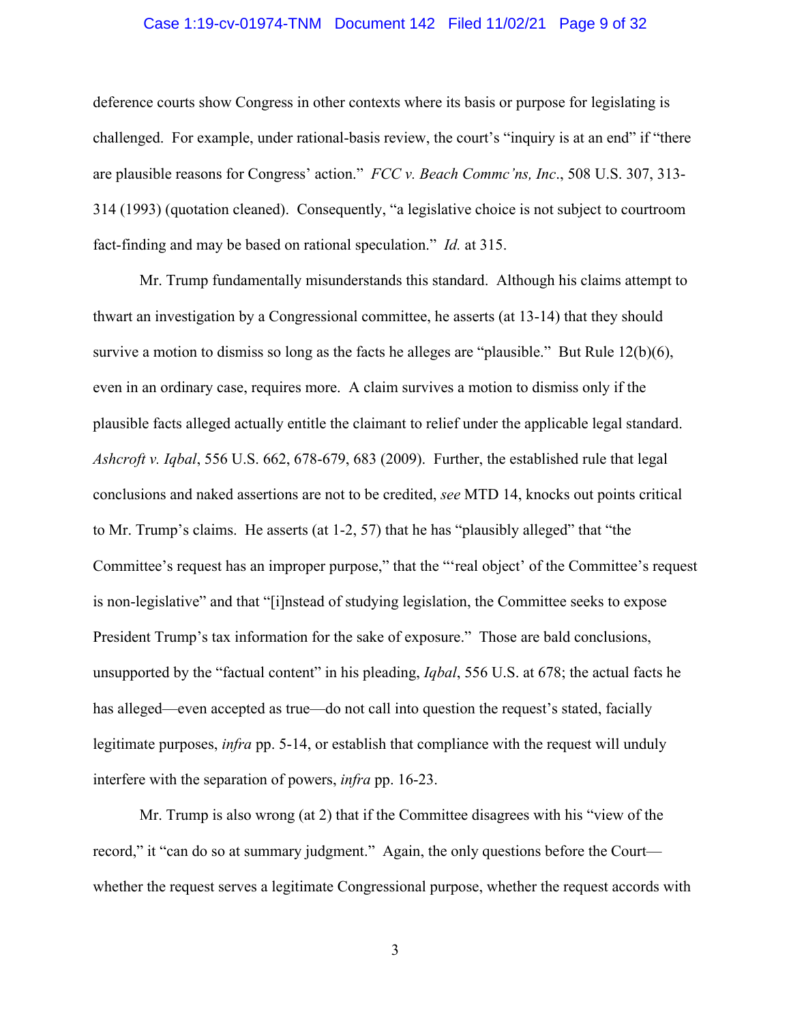#### Case 1:19-cv-01974-TNM Document 142 Filed 11/02/21 Page 9 of 32

<span id="page-8-0"></span>deference courts show Congress in other contexts where its basis or purpose for legislating is challenged. For example, under rational-basis review, the court's "inquiry is at an end" if "there are plausible reasons for Congress' action." *FCC v. Beach Commc'ns, Inc*., 508 U.S. 307, 313- 314 (1993) (quotation cleaned). Consequently, "a legislative choice is not subject to courtroom fact-finding and may be based on rational speculation." *Id.* at 315.

Mr. Trump fundamentally misunderstands this standard. Although his claims attempt to thwart an investigation by a Congressional committee, he asserts (at 13-14) that they should survive a motion to dismiss so long as the facts he alleges are "plausible." But Rule  $12(b)(6)$ , even in an ordinary case, requires more. A claim survives a motion to dismiss only if the plausible facts alleged actually entitle the claimant to relief under the applicable legal standard. *Ashcroft v. Iqbal*, 556 U.S. 662, 678-679, 683 (2009). Further, the established rule that legal conclusions and naked assertions are not to be credited, *see* MTD 14, knocks out points critical to Mr. Trump's claims. He asserts (at 1-2, 57) that he has "plausibly alleged" that "the Committee's request has an improper purpose," that the "'real object' of the Committee's request is non-legislative" and that "[i]nstead of studying legislation, the Committee seeks to expose President Trump's tax information for the sake of exposure." Those are bald conclusions, unsupported by the "factual content" in his pleading, *Iqbal*, 556 U.S. at 678; the actual facts he has alleged—even accepted as true—do not call into question the request's stated, facially legitimate purposes, *infra* pp. 5-14, or establish that compliance with the request will unduly interfere with the separation of powers, *infra* pp. 16-23.

Mr. Trump is also wrong (at 2) that if the Committee disagrees with his "view of the record," it "can do so at summary judgment." Again, the only questions before the Court whether the request serves a legitimate Congressional purpose, whether the request accords with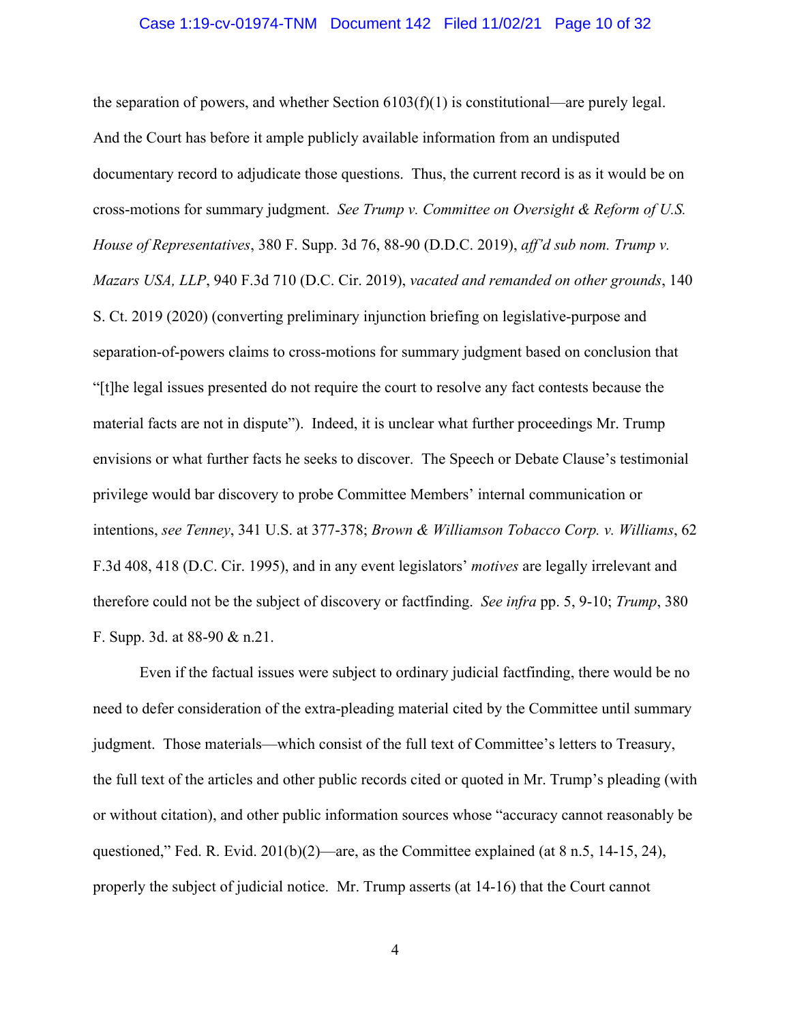#### Case 1:19-cv-01974-TNM Document 142 Filed 11/02/21 Page 10 of 32

the separation of powers, and whether Section  $6103(f)(1)$  is constitutional—are purely legal. And the Court has before it ample publicly available information from an undisputed documentary record to adjudicate those questions. Thus, the current record is as it would be on cross-motions for summary judgment. *See Trump v. Committee on Oversight & Reform of U.S. House of Representatives*, 380 F. Supp. 3d 76, 88-90 (D.D.C. 2019), *aff'd sub nom. Trump v. Mazars USA, LLP*, 940 F.3d 710 (D.C. Cir. 2019), *vacated and remanded on other grounds*, 140 S. Ct. 2019 (2020) (converting preliminary injunction briefing on legislative-purpose and separation-of-powers claims to cross-motions for summary judgment based on conclusion that "[t]he legal issues presented do not require the court to resolve any fact contests because the material facts are not in dispute"). Indeed, it is unclear what further proceedings Mr. Trump envisions or what further facts he seeks to discover. The Speech or Debate Clause's testimonial privilege would bar discovery to probe Committee Members' internal communication or intentions, *see Tenney*, 341 U.S. at 377-378; *Brown & Williamson Tobacco Corp. v. Williams*, 62 F.3d 408, 418 (D.C. Cir. 1995), and in any event legislators' *motives* are legally irrelevant and therefore could not be the subject of discovery or factfinding. *See infra* pp. 5, 9-10; *Trump*, 380 F. Supp. 3d. at 88-90 & n.21.

Even if the factual issues were subject to ordinary judicial factfinding, there would be no need to defer consideration of the extra-pleading material cited by the Committee until summary judgment. Those materials—which consist of the full text of Committee's letters to Treasury, the full text of the articles and other public records cited or quoted in Mr. Trump's pleading (with or without citation), and other public information sources whose "accuracy cannot reasonably be questioned," Fed. R. Evid. 201(b)(2)—are, as the Committee explained (at 8 n.5, 14-15, 24), properly the subject of judicial notice. Mr. Trump asserts (at 14-16) that the Court cannot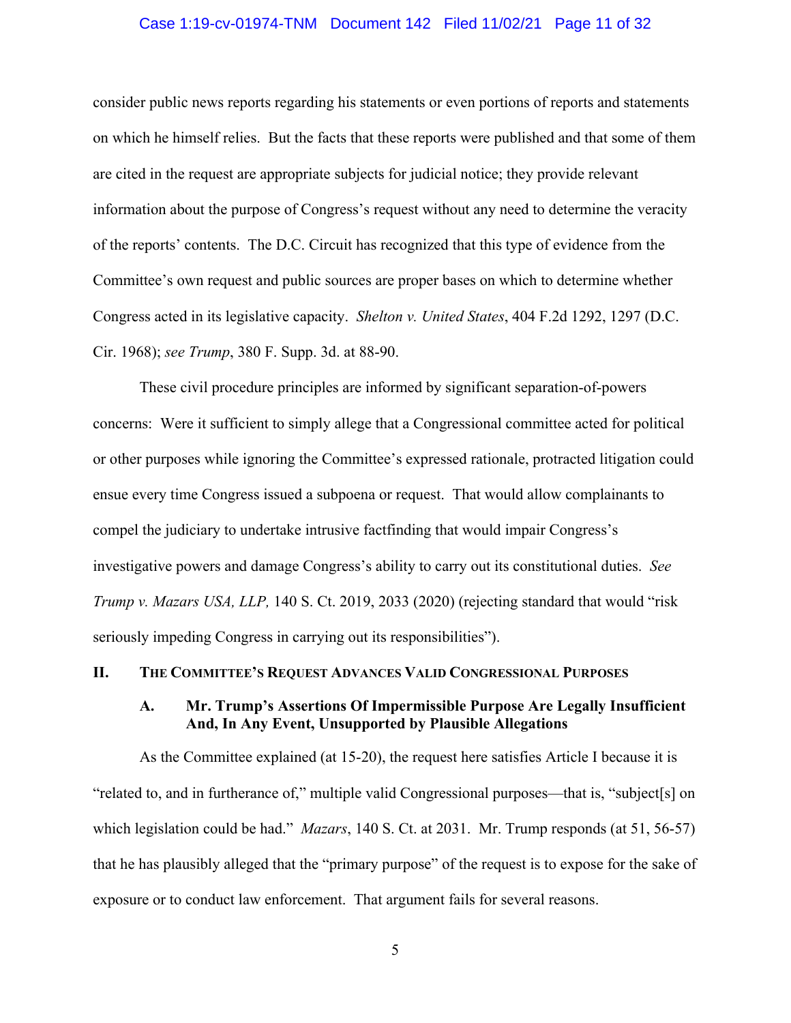#### Case 1:19-cv-01974-TNM Document 142 Filed 11/02/21 Page 11 of 32

<span id="page-10-0"></span>of the reports' contents. The D.C. Circuit has recognized that this type of evidence from the consider public news reports regarding his statements or even portions of reports and statements on which he himself relies. But the facts that these reports were published and that some of them are cited in the request are appropriate subjects for judicial notice; they provide relevant information about the purpose of Congress's request without any need to determine the veracity Committee's own request and public sources are proper bases on which to determine whether Congress acted in its legislative capacity. *Shelton v. United States*, 404 F.2d 1292, 1297 (D.C. Cir. 1968); *see Trump*, 380 F. Supp. 3d. at 88-90.

These civil procedure principles are informed by significant separation-of-powers concerns: Were it sufficient to simply allege that a Congressional committee acted for political or other purposes while ignoring the Committee's expressed rationale, protracted litigation could ensue every time Congress issued a subpoena or request. That would allow complainants to compel the judiciary to undertake intrusive factfinding that would impair Congress's investigative powers and damage Congress's ability to carry out its constitutional duties. *See Trump v. Mazars USA, LLP,* 140 S. Ct. 2019, 2033 (2020) (rejecting standard that would "risk seriously impeding Congress in carrying out its responsibilities").

#### **II. THE COMMITTEE'S REQUEST ADVANCES VALID CONGRESSIONAL PURPOSES**

## **A. Mr. Trump's Assertions Of Impermissible Purpose Are Legally Insufficient And, In Any Event, Unsupported by Plausible Allegations**

As the Committee explained (at 15-20), the request here satisfies Article I because it is "related to, and in furtherance of," multiple valid Congressional purposes—that is, "subject[s] on which legislation could be had." *Mazars*, 140 S. Ct. at 2031. Mr. Trump responds (at 51, 56-57) that he has plausibly alleged that the "primary purpose" of the request is to expose for the sake of exposure or to conduct law enforcement. That argument fails for several reasons.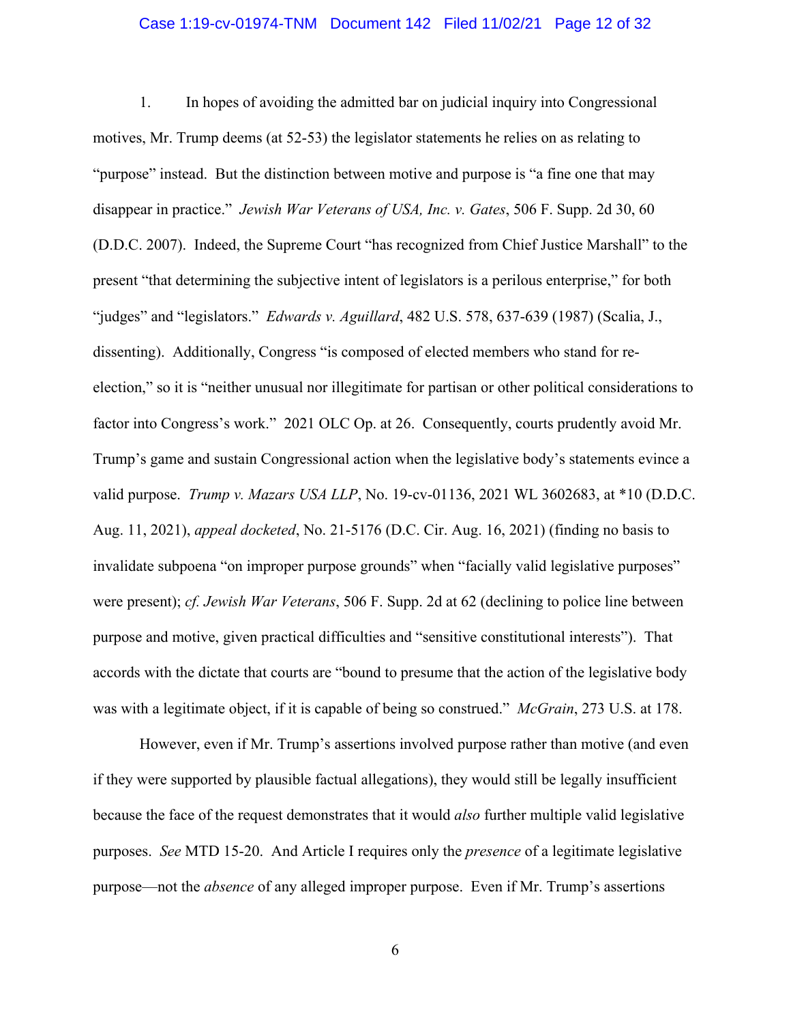#### Case 1:19-cv-01974-TNM Document 142 Filed 11/02/21 Page 12 of 32

1. In hopes of avoiding the admitted bar on judicial inquiry into Congressional motives, Mr. Trump deems (at 52-53) the legislator statements he relies on as relating to "purpose" instead. But the distinction between motive and purpose is "a fine one that may disappear in practice." *Jewish War Veterans of USA, Inc. v. Gates*, 506 F. Supp. 2d 30, 60 (D.D.C. 2007). Indeed, the Supreme Court "has recognized from Chief Justice Marshall" to the present "that determining the subjective intent of legislators is a perilous enterprise," for both "judges" and "legislators." *Edwards v. Aguillard*, 482 U.S. 578, 637-639 (1987) (Scalia, J., dissenting). Additionally, Congress "is composed of elected members who stand for reelection," so it is "neither unusual nor illegitimate for partisan or other political considerations to factor into Congress's work." 2021 OLC Op. at 26. Consequently, courts prudently avoid Mr. Trump's game and sustain Congressional action when the legislative body's statements evince a valid purpose. *Trump v. Mazars USA LLP*, No. 19-cv-01136, 2021 WL 3602683, at \*10 (D.D.C. Aug. 11, 2021), *appeal docketed*, No. 21-5176 (D.C. Cir. Aug. 16, 2021) (finding no basis to invalidate subpoena "on improper purpose grounds" when "facially valid legislative purposes" were present); *cf. Jewish War Veterans*, 506 F. Supp. 2d at 62 (declining to police line between purpose and motive, given practical difficulties and "sensitive constitutional interests"). That accords with the dictate that courts are "bound to presume that the action of the legislative body was with a legitimate object, if it is capable of being so construed." *McGrain*, 273 U.S. at 178.

However, even if Mr. Trump's assertions involved purpose rather than motive (and even if they were supported by plausible factual allegations), they would still be legally insufficient because the face of the request demonstrates that it would *also* further multiple valid legislative purposes. *See* MTD 15-20. And Article I requires only the *presence* of a legitimate legislative purpose—not the *absence* of any alleged improper purpose. Even if Mr. Trump's assertions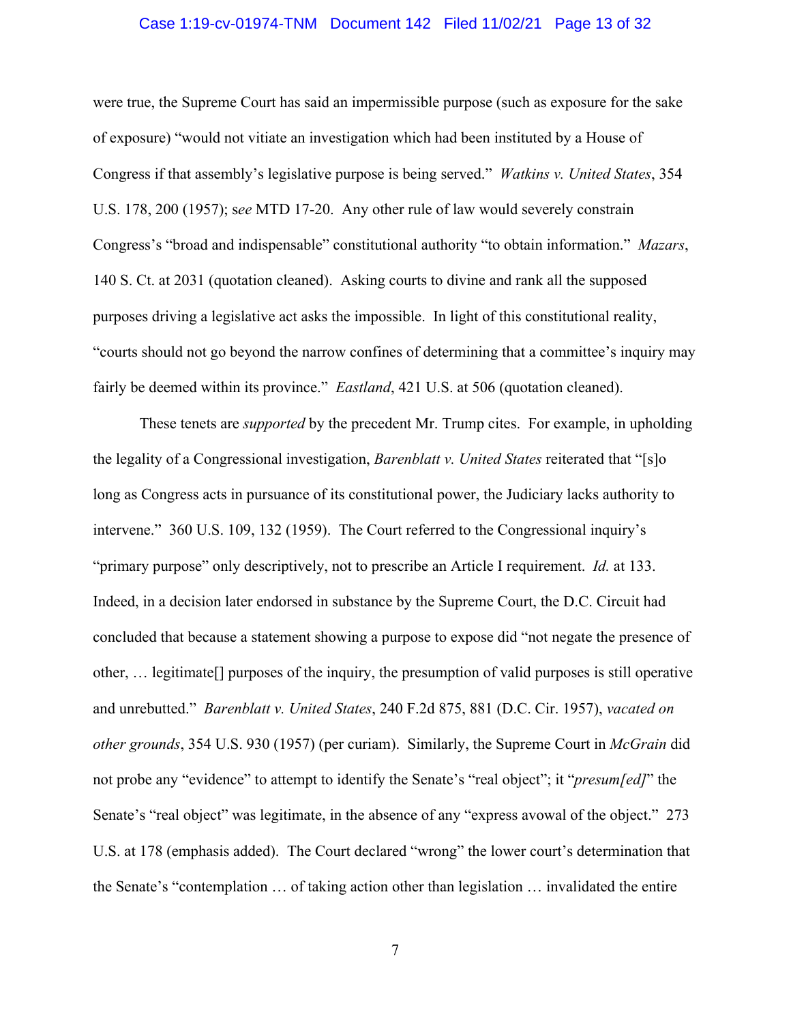#### Case 1:19-cv-01974-TNM Document 142 Filed 11/02/21 Page 13 of 32

were true, the Supreme Court has said an impermissible purpose (such as exposure for the sake of exposure) "would not vitiate an investigation which had been instituted by a House of Congress if that assembly's legislative purpose is being served." *Watkins v. United States*, 354 U.S. 178, 200 (1957); s*ee* MTD 17-20. Any other rule of law would severely constrain Congress's "broad and indispensable" constitutional authority "to obtain information." *Mazars*, 140 S. Ct. at 2031 (quotation cleaned). Asking courts to divine and rank all the supposed purposes driving a legislative act asks the impossible. In light of this constitutional reality, "courts should not go beyond the narrow confines of determining that a committee's inquiry may fairly be deemed within its province." *Eastland*, 421 U.S. at 506 (quotation cleaned).

These tenets are *supported* by the precedent Mr. Trump cites. For example, in upholding the legality of a Congressional investigation, *Barenblatt v. United States* reiterated that "[s]o long as Congress acts in pursuance of its constitutional power, the Judiciary lacks authority to intervene." 360 U.S. 109, 132 (1959). The Court referred to the Congressional inquiry's "primary purpose" only descriptively, not to prescribe an Article I requirement. *Id.* at 133. Indeed, in a decision later endorsed in substance by the Supreme Court, the D.C. Circuit had concluded that because a statement showing a purpose to expose did "not negate the presence of other, … legitimate[] purposes of the inquiry, the presumption of valid purposes is still operative and unrebutted." *Barenblatt v. United States*, 240 F.2d 875, 881 (D.C. Cir. 1957), *vacated on other grounds*, 354 U.S. 930 (1957) (per curiam). Similarly, the Supreme Court in *McGrain* did not probe any "evidence" to attempt to identify the Senate's "real object"; it "*presum[ed]*" the Senate's "real object" was legitimate, in the absence of any "express avowal of the object." 273 U.S. at 178 (emphasis added). The Court declared "wrong" the lower court's determination that the Senate's "contemplation … of taking action other than legislation … invalidated the entire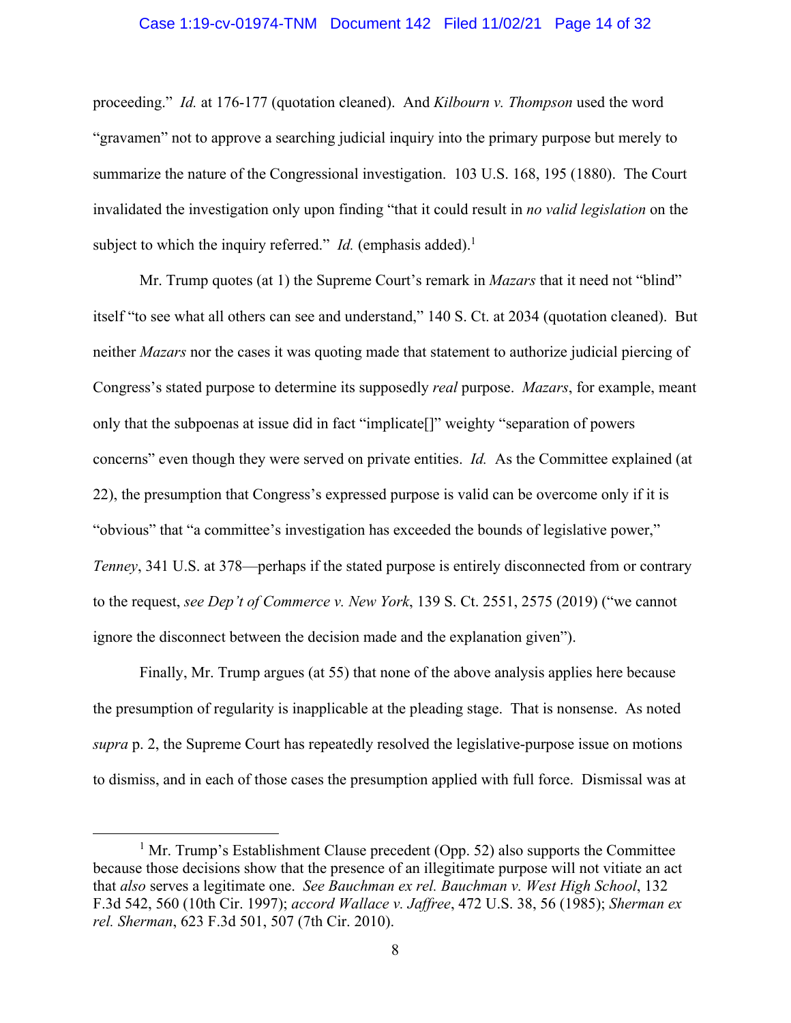#### Case 1:19-cv-01974-TNM Document 142 Filed 11/02/21 Page 14 of 32

<span id="page-13-0"></span>subject to which the inquiry referred." *Id.* (emphasis added).<sup>1</sup> proceeding." *Id.* at 176-177 (quotation cleaned). And *Kilbourn v. Thompson* used the word "gravamen" not to approve a searching judicial inquiry into the primary purpose but merely to summarize the nature of the Congressional investigation. 103 U.S. 168, 195 (1880). The Court invalidated the investigation only upon finding "that it could result in *no valid legislation* on the

Mr. Trump quotes (at 1) the Supreme Court's remark in *Mazars* that it need not "blind" itself "to see what all others can see and understand," 140 S. Ct. at 2034 (quotation cleaned). But neither *Mazars* nor the cases it was quoting made that statement to authorize judicial piercing of Congress's stated purpose to determine its supposedly *real* purpose. *Mazars*, for example, meant only that the subpoenas at issue did in fact "implicate[]" weighty "separation of powers concerns" even though they were served on private entities. *Id.* As the Committee explained (at 22), the presumption that Congress's expressed purpose is valid can be overcome only if it is "obvious" that "a committee's investigation has exceeded the bounds of legislative power," *Tenney*, 341 U.S. at 378—perhaps if the stated purpose is entirely disconnected from or contrary to the request, *see Dep't of Commerce v. New York*, 139 S. Ct. 2551, 2575 (2019) ("we cannot ignore the disconnect between the decision made and the explanation given").

Finally, Mr. Trump argues (at 55) that none of the above analysis applies here because the presumption of regularity is inapplicable at the pleading stage. That is nonsense. As noted *supra* p. 2, the Supreme Court has repeatedly resolved the legislative-purpose issue on motions to dismiss, and in each of those cases the presumption applied with full force. Dismissal was at

 $<sup>1</sup>$  Mr. Trump's Establishment Clause precedent (Opp. 52) also supports the Committee</sup> because those decisions show that the presence of an illegitimate purpose will not vitiate an act that *also* serves a legitimate one. *See Bauchman ex rel. Bauchman v. West High School*, 132 F.3d 542, 560 (10th Cir. 1997); *accord Wallace v. Jaffree*, 472 U.S. 38, 56 (1985); *Sherman ex rel. Sherman*, 623 F.3d 501, 507 (7th Cir. 2010).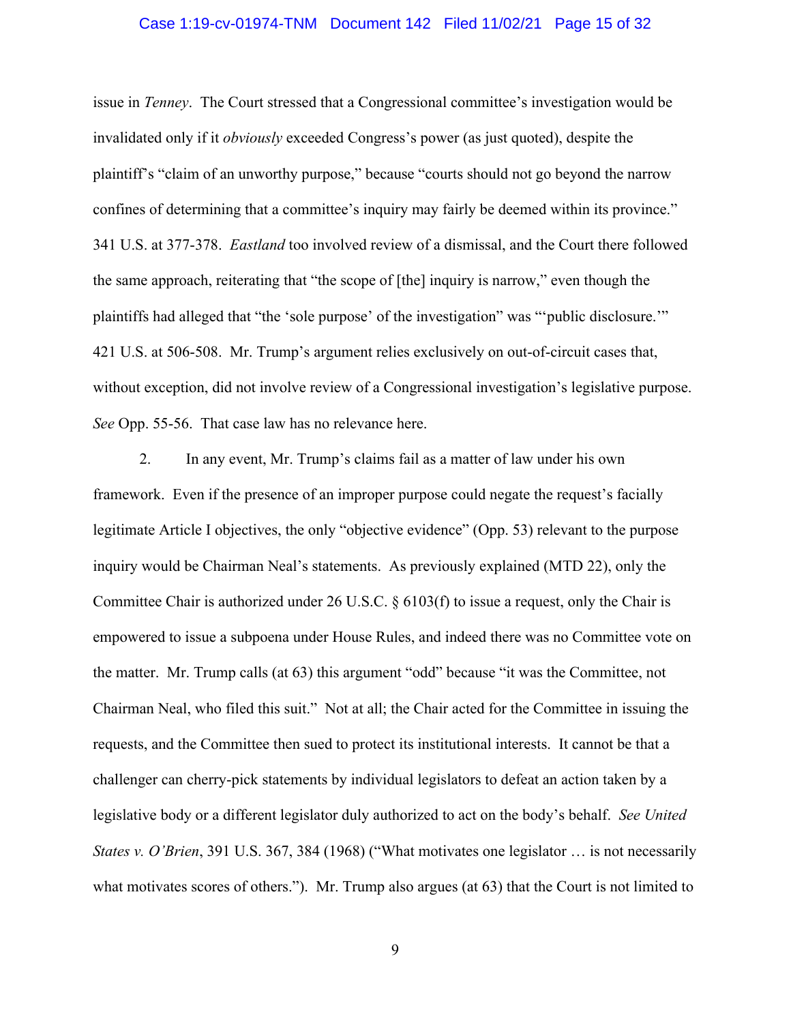#### Case 1:19-cv-01974-TNM Document 142 Filed 11/02/21 Page 15 of 32

issue in *Tenney*. The Court stressed that a Congressional committee's investigation would be invalidated only if it *obviously* exceeded Congress's power (as just quoted), despite the plaintiff's "claim of an unworthy purpose," because "courts should not go beyond the narrow confines of determining that a committee's inquiry may fairly be deemed within its province." 341 U.S. at 377-378. *Eastland* too involved review of a dismissal, and the Court there followed the same approach, reiterating that "the scope of [the] inquiry is narrow," even though the plaintiffs had alleged that "the 'sole purpose' of the investigation" was "'public disclosure.'" 421 U.S. at 506-508. Mr. Trump's argument relies exclusively on out-of-circuit cases that, without exception, did not involve review of a Congressional investigation's legislative purpose. *See* Opp. 55-56. That case law has no relevance here.

2. In any event, Mr. Trump's claims fail as a matter of law under his own framework. Even if the presence of an improper purpose could negate the request's facially legitimate Article I objectives, the only "objective evidence" (Opp. 53) relevant to the purpose inquiry would be Chairman Neal's statements. As previously explained (MTD 22), only the Committee Chair is authorized under 26 U.S.C. § 6103(f) to issue a request, only the Chair is empowered to issue a subpoena under House Rules, and indeed there was no Committee vote on the matter. Mr. Trump calls (at 63) this argument "odd" because "it was the Committee, not Chairman Neal, who filed this suit." Not at all; the Chair acted for the Committee in issuing the requests, and the Committee then sued to protect its institutional interests. It cannot be that a challenger can cherry-pick statements by individual legislators to defeat an action taken by a legislative body or a different legislator duly authorized to act on the body's behalf. *See United States v. O'Brien*, 391 U.S. 367, 384 (1968) ("What motivates one legislator ... is not necessarily what motivates scores of others."). Mr. Trump also argues (at 63) that the Court is not limited to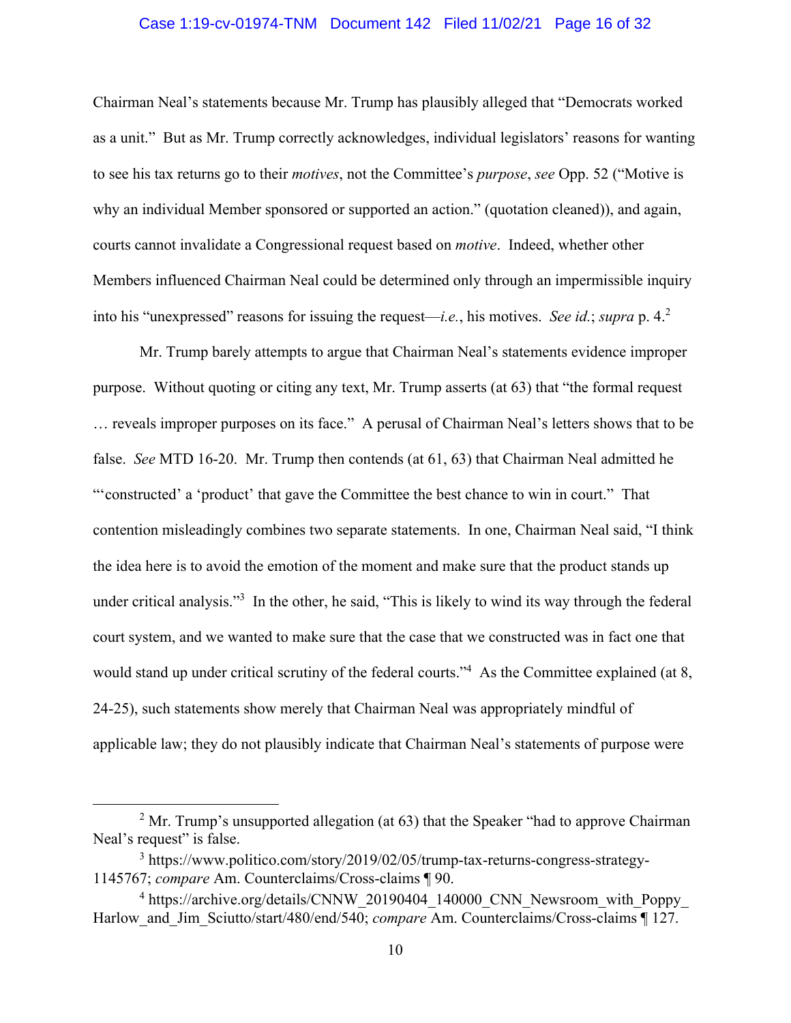#### Case 1:19-cv-01974-TNM Document 142 Filed 11/02/21 Page 16 of 32

 into his "unexpressed" reasons for issuing the request—*i.e.*, his motives. *See id.*; *supra* p. 4.<sup>2</sup> Chairman Neal's statements because Mr. Trump has plausibly alleged that "Democrats worked as a unit." But as Mr. Trump correctly acknowledges, individual legislators' reasons for wanting to see his tax returns go to their *motives*, not the Committee's *purpose*, *see* Opp. 52 ("Motive is why an individual Member sponsored or supported an action." (quotation cleaned)), and again, courts cannot invalidate a Congressional request based on *motive*. Indeed, whether other Members influenced Chairman Neal could be determined only through an impermissible inquiry

Mr. Trump barely attempts to argue that Chairman Neal's statements evidence improper purpose. Without quoting or citing any text, Mr. Trump asserts (at 63) that "the formal request … reveals improper purposes on its face." A perusal of Chairman Neal's letters shows that to be false. *See* MTD 16-20. Mr. Trump then contends (at 61, 63) that Chairman Neal admitted he "'constructed' a 'product' that gave the Committee the best chance to win in court." That contention misleadingly combines two separate statements. In one, Chairman Neal said, "I think the idea here is to avoid the emotion of the moment and make sure that the product stands up under critical analysis."<sup>3</sup> In the other, he said, "This is likely to wind its way through the federal court system, and we wanted to make sure that the case that we constructed was in fact one that would stand up under critical scrutiny of the federal courts."<sup>4</sup> As the Committee explained (at 8, 24-25), such statements show merely that Chairman Neal was appropriately mindful of applicable law; they do not plausibly indicate that Chairman Neal's statements of purpose were

 $2^2$  Mr. Trump's unsupported allegation (at 63) that the Speaker "had to approve Chairman Neal's request" is false.

<sup>&</sup>lt;sup>3</sup><https://www.politico.com/story/2019/02/05/trump-tax-returns-congress-strategy>-1145767; *compare* Am. Counterclaims/Cross-claims ¶ 90.

<sup>&</sup>lt;sup>4</sup> [https://archive.org/details/CNNW\\_20190404\\_140000\\_CNN\\_Newsroom\\_with\\_Poppy](https://archive.org/details/CNNW_20190404_140000_CNN_Newsroom_with_Poppy)\_ Harlow and Jim Sciutto/start/480/end/540; *compare* Am. Counterclaims/Cross-claims ¶ 127.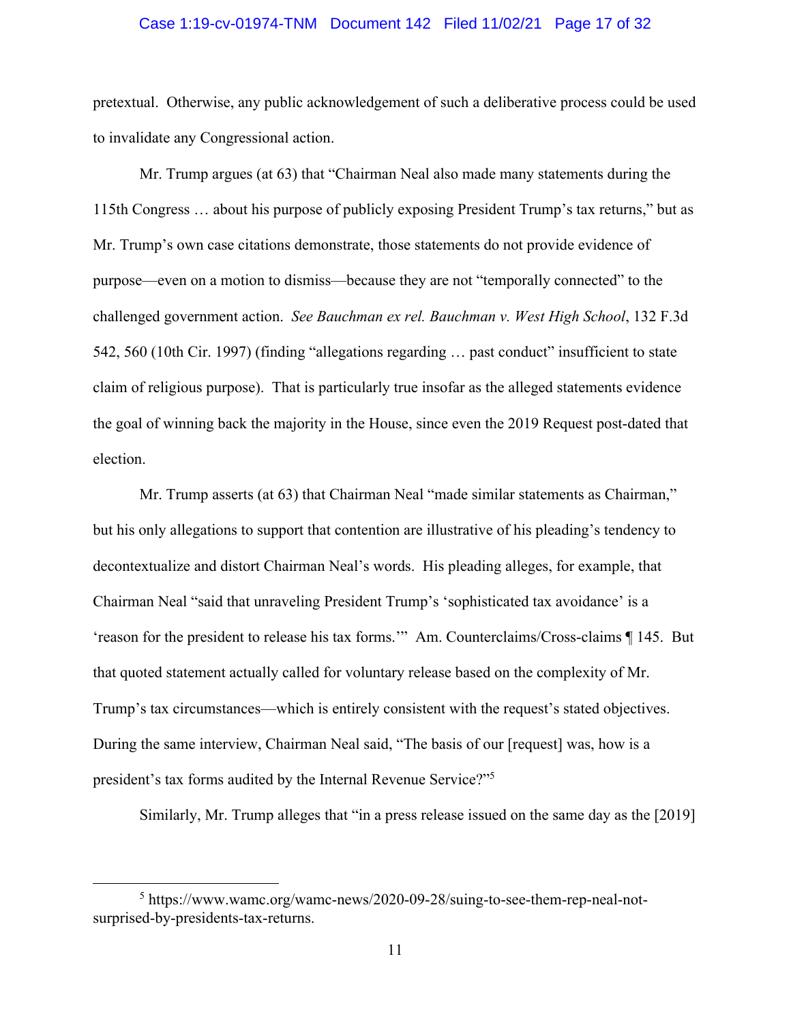#### Case 1:19-cv-01974-TNM Document 142 Filed 11/02/21 Page 17 of 32

pretextual. Otherwise, any public acknowledgement of such a deliberative process could be used to invalidate any Congressional action.

Mr. Trump argues (at 63) that "Chairman Neal also made many statements during the 115th Congress … about his purpose of publicly exposing President Trump's tax returns," but as Mr. Trump's own case citations demonstrate, those statements do not provide evidence of purpose—even on a motion to dismiss—because they are not "temporally connected" to the challenged government action. *See Bauchman ex rel. Bauchman v. West High School*, 132 F.3d 542, 560 (10th Cir. 1997) (finding "allegations regarding … past conduct" insufficient to state claim of religious purpose). That is particularly true insofar as the alleged statements evidence the goal of winning back the majority in the House, since even the 2019 Request post-dated that election.

president's tax forms audited by the Internal Revenue Service?"<sup>5</sup> Mr. Trump asserts (at 63) that Chairman Neal "made similar statements as Chairman," but his only allegations to support that contention are illustrative of his pleading's tendency to decontextualize and distort Chairman Neal's words. His pleading alleges, for example, that Chairman Neal "said that unraveling President Trump's 'sophisticated tax avoidance' is a 'reason for the president to release his tax forms.'" Am. Counterclaims/Cross-claims ¶ 145. But that quoted statement actually called for voluntary release based on the complexity of Mr. Trump's tax circumstances—which is entirely consistent with the request's stated objectives. During the same interview, Chairman Neal said, "The basis of our [request] was, how is a

Similarly, Mr. Trump alleges that "in a press release issued on the same day as the [2019]

<sup>5</sup> <https://www.wamc.org/wamc-news/2020-09-28/suing-to-see-them-rep-neal-not>surprised-by-presidents-tax-returns.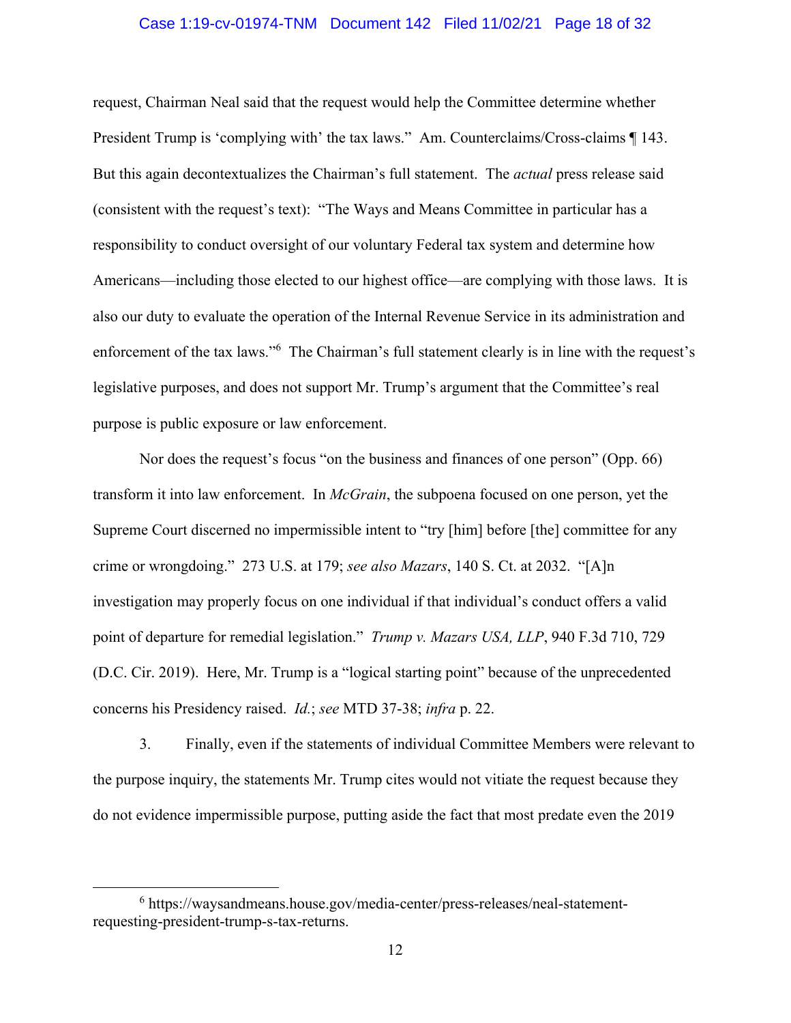#### Case 1:19-cv-01974-TNM Document 142 Filed 11/02/21 Page 18 of 32

request, Chairman Neal said that the request would help the Committee determine whether President Trump is 'complying with' the tax laws." Am. Counterclaims/Cross-claims ¶ 143. But this again decontextualizes the Chairman's full statement. The *actual* press release said (consistent with the request's text): "The Ways and Means Committee in particular has a responsibility to conduct oversight of our voluntary Federal tax system and determine how Americans—including those elected to our highest office—are complying with those laws. It is also our duty to evaluate the operation of the Internal Revenue Service in its administration and enforcement of the tax laws."<sup>6</sup> The Chairman's full statement clearly is in line with the request's legislative purposes, and does not support Mr. Trump's argument that the Committee's real purpose is public exposure or law enforcement.

Nor does the request's focus "on the business and finances of one person" (Opp. 66) transform it into law enforcement. In *McGrain*, the subpoena focused on one person, yet the Supreme Court discerned no impermissible intent to "try [him] before [the] committee for any crime or wrongdoing." 273 U.S. at 179; *see also Mazars*, 140 S. Ct. at 2032. "[A]n investigation may properly focus on one individual if that individual's conduct offers a valid point of departure for remedial legislation." *Trump v. Mazars USA, LLP*, 940 F.3d 710, 729 (D.C. Cir. 2019). Here, Mr. Trump is a "logical starting point" because of the unprecedented concerns his Presidency raised. *Id.*; *see* MTD 37-38; *infra* p. 22.

3. Finally, even if the statements of individual Committee Members were relevant to the purpose inquiry, the statements Mr. Trump cites would not vitiate the request because they do not evidence impermissible purpose, putting aside the fact that most predate even the 2019

<sup>&</sup>lt;sup>6</sup><https://waysandmeans.house.gov/media-center/press-releases/neal-statement>requesting-president-trump-s-tax-returns.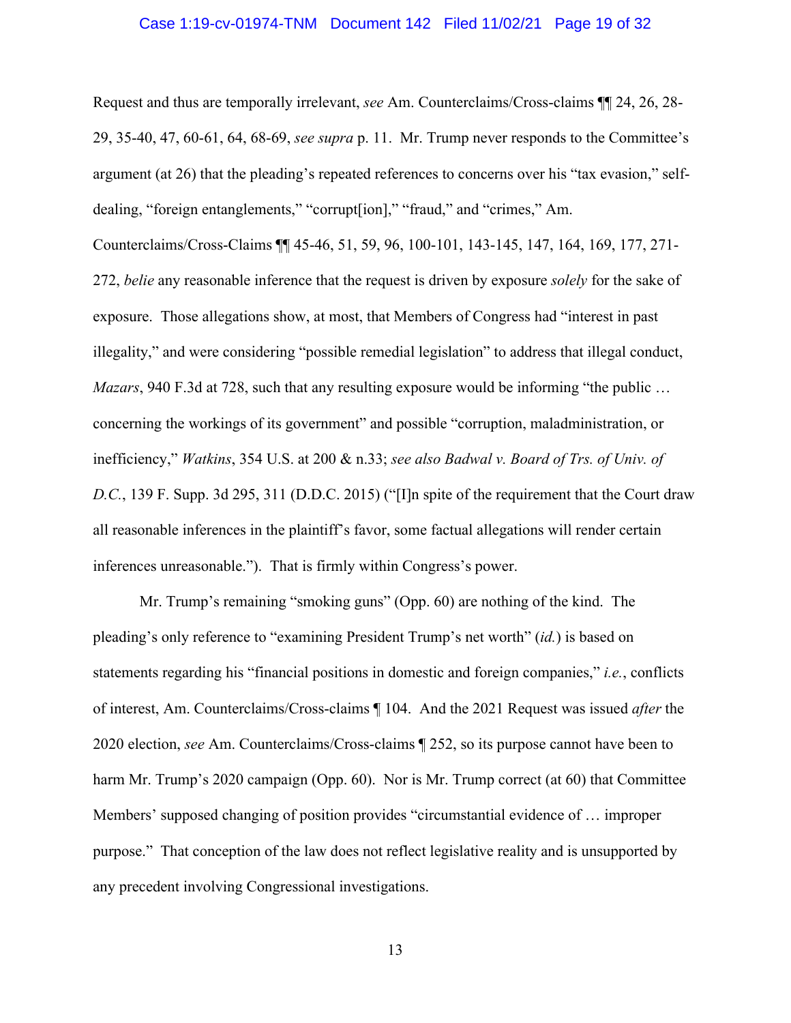#### Case 1:19-cv-01974-TNM Document 142 Filed 11/02/21 Page 19 of 32

<span id="page-18-0"></span>Request and thus are temporally irrelevant, *see* Am. Counterclaims/Cross-claims ¶¶ 24, 26, 28- 29, 35-40, 47, 60-61, 64, 68-69, *see supra* p. 11. Mr. Trump never responds to the Committee's argument (at 26) that the pleading's repeated references to concerns over his "tax evasion," selfdealing, "foreign entanglements," "corrupt[ion]," "fraud," and "crimes," Am.

Counterclaims/Cross-Claims ¶¶ 45-46, 51, 59, 96, 100-101, 143-145, 147, 164, 169, 177, 271- 272, *belie* any reasonable inference that the request is driven by exposure *solely* for the sake of exposure. Those allegations show, at most, that Members of Congress had "interest in past illegality," and were considering "possible remedial legislation" to address that illegal conduct, *Mazars*, 940 F.3d at 728, such that any resulting exposure would be informing "the public ... concerning the workings of its government" and possible "corruption, maladministration, or inefficiency," *Watkins*, 354 U.S. at 200 & n.33; *see also Badwal v. Board of Trs. of Univ. of D.C.*, 139 F. Supp. 3d 295, 311 (D.D.C. 2015) ("[I]n spite of the requirement that the Court draw all reasonable inferences in the plaintiff's favor, some factual allegations will render certain inferences unreasonable."). That is firmly within Congress's power.

Mr. Trump's remaining "smoking guns" (Opp. 60) are nothing of the kind. The pleading's only reference to "examining President Trump's net worth" (*id.*) is based on statements regarding his "financial positions in domestic and foreign companies," *i.e.*, conflicts of interest, Am. Counterclaims/Cross-claims ¶ 104. And the 2021 Request was issued *after* the 2020 election, *see* Am. Counterclaims/Cross-claims ¶ 252, so its purpose cannot have been to harm Mr. Trump's 2020 campaign (Opp. 60). Nor is Mr. Trump correct (at 60) that Committee Members' supposed changing of position provides "circumstantial evidence of … improper purpose." That conception of the law does not reflect legislative reality and is unsupported by any precedent involving Congressional investigations.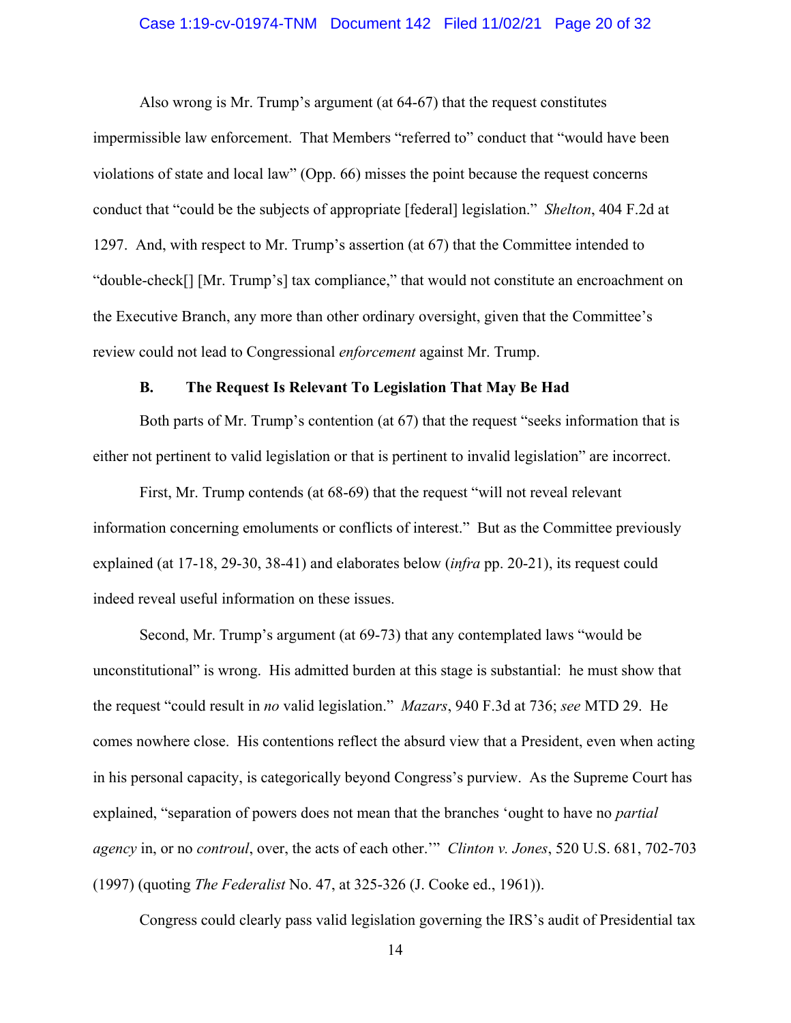#### Case 1:19-cv-01974-TNM Document 142 Filed 11/02/21 Page 20 of 32

Also wrong is Mr. Trump's argument (at 64-67) that the request constitutes impermissible law enforcement. That Members "referred to" conduct that "would have been violations of state and local law" (Opp. 66) misses the point because the request concerns conduct that "could be the subjects of appropriate [federal] legislation." *Shelton*, 404 F.2d at 1297. And, with respect to Mr. Trump's assertion (at 67) that the Committee intended to "double-check[] [Mr. Trump's] tax compliance," that would not constitute an encroachment on the Executive Branch, any more than other ordinary oversight, given that the Committee's review could not lead to Congressional *enforcement* against Mr. Trump.

#### **B. The Request Is Relevant To Legislation That May Be Had**

Both parts of Mr. Trump's contention (at 67) that the request "seeks information that is either not pertinent to valid legislation or that is pertinent to invalid legislation" are incorrect.

First, Mr. Trump contends (at 68-69) that the request "will not reveal relevant information concerning emoluments or conflicts of interest." But as the Committee previously explained (at 17-18, 29-30, 38-41) and elaborates below (*infra* pp. 20-21), its request could indeed reveal useful information on these issues.

Second, Mr. Trump's argument (at 69-73) that any contemplated laws "would be unconstitutional" is wrong. His admitted burden at this stage is substantial: he must show that the request "could result in *no* valid legislation." *Mazars*, 940 F.3d at 736; *see* MTD 29. He comes nowhere close. His contentions reflect the absurd view that a President, even when acting in his personal capacity, is categorically beyond Congress's purview. As the Supreme Court has explained, "separation of powers does not mean that the branches 'ought to have no *partial agency* in, or no *controul*, over, the acts of each other.'" *Clinton v. Jones*, 520 U.S. 681, 702-703 (1997) (quoting *The Federalist* No. 47, at 325-326 (J. Cooke ed., 1961)).

Congress could clearly pass valid legislation governing the IRS's audit of Presidential tax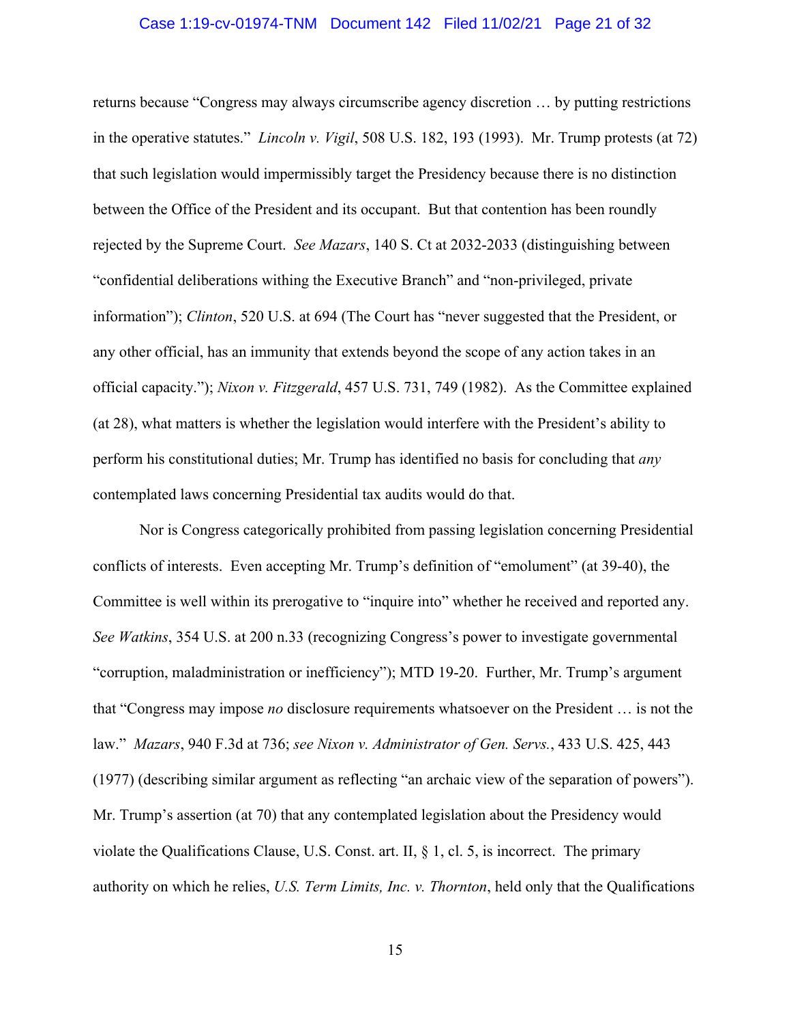#### Case 1:19-cv-01974-TNM Document 142 Filed 11/02/21 Page 21 of 32

returns because "Congress may always circumscribe agency discretion … by putting restrictions in the operative statutes." *Lincoln v. Vigil*, 508 U.S. 182, 193 (1993). Mr. Trump protests (at 72) that such legislation would impermissibly target the Presidency because there is no distinction between the Office of the President and its occupant. But that contention has been roundly rejected by the Supreme Court. *See Mazars*, 140 S. Ct at 2032-2033 (distinguishing between "confidential deliberations withing the Executive Branch" and "non-privileged, private information"); *Clinton*, 520 U.S. at 694 (The Court has "never suggested that the President, or any other official, has an immunity that extends beyond the scope of any action takes in an official capacity."); *Nixon v. Fitzgerald*, 457 U.S. 731, 749 (1982). As the Committee explained (at 28), what matters is whether the legislation would interfere with the President's ability to perform his constitutional duties; Mr. Trump has identified no basis for concluding that *any*  contemplated laws concerning Presidential tax audits would do that.

Nor is Congress categorically prohibited from passing legislation concerning Presidential conflicts of interests. Even accepting Mr. Trump's definition of "emolument" (at 39-40), the Committee is well within its prerogative to "inquire into" whether he received and reported any. *See Watkins*, 354 U.S. at 200 n.33 (recognizing Congress's power to investigate governmental "corruption, maladministration or inefficiency"); MTD 19-20. Further, Mr. Trump's argument that "Congress may impose *no* disclosure requirements whatsoever on the President … is not the law." *Mazars*, 940 F.3d at 736; *see Nixon v. Administrator of Gen. Servs.*, 433 U.S. 425, 443 (1977) (describing similar argument as reflecting "an archaic view of the separation of powers"). Mr. Trump's assertion (at 70) that any contemplated legislation about the Presidency would violate the Qualifications Clause, U.S. Const. art. II,  $\S$  1, cl. 5, is incorrect. The primary authority on which he relies, *U.S. Term Limits, Inc. v. Thornton*, held only that the Qualifications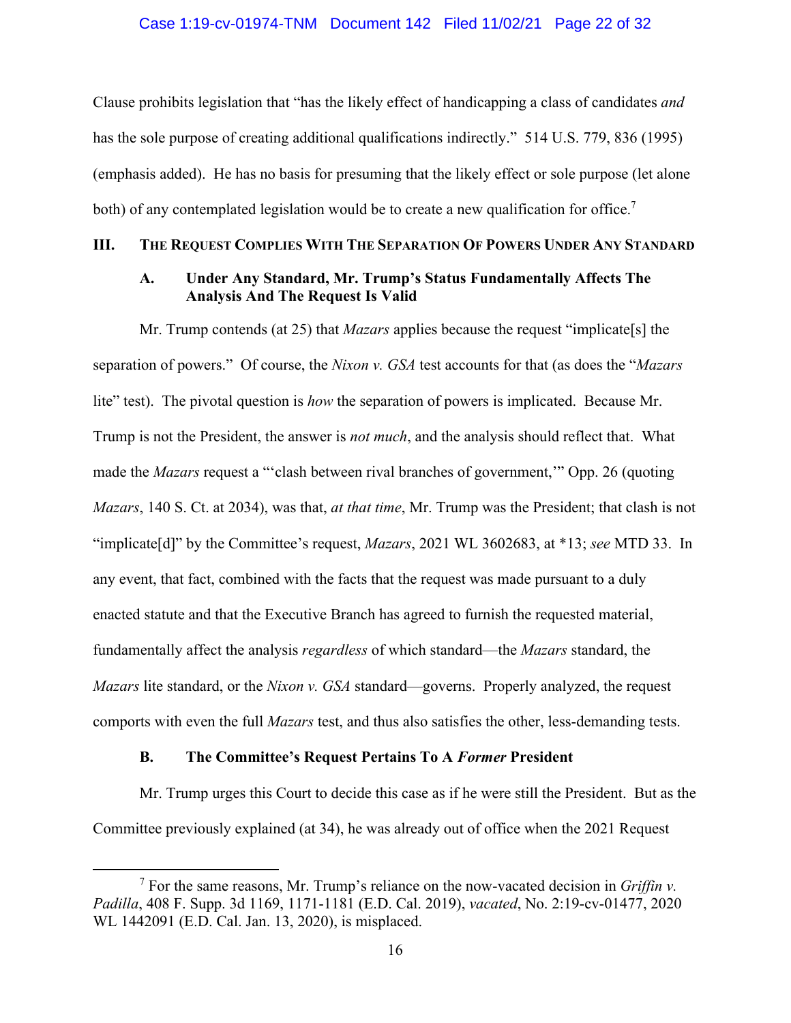<span id="page-21-0"></span>Clause prohibits legislation that "has the likely effect of handicapping a class of candidates *and*  has the sole purpose of creating additional qualifications indirectly." 514 U.S. 779, 836 (1995) (emphasis added). He has no basis for presuming that the likely effect or sole purpose (let alone both) of any contemplated legislation would be to create a new qualification for office.<sup>7</sup>

## **III. THE REQUEST COMPLIES WITH THE SEPARATION OF POWERS UNDER ANY STANDARD**

# **A. Under Any Standard, Mr. Trump's Status Fundamentally Affects The Analysis And The Request Is Valid**

Mr. Trump contends (at 25) that *Mazars* applies because the request "implicate[s] the separation of powers." Of course, the *Nixon v. GSA* test accounts for that (as does the "*Mazars*  lite" test). The pivotal question is *how* the separation of powers is implicated. Because Mr. Trump is not the President, the answer is *not much*, and the analysis should reflect that. What made the *Mazars* request a "'clash between rival branches of government,'" Opp. 26 (quoting *Mazars*, 140 S. Ct. at 2034), was that, *at that time*, Mr. Trump was the President; that clash is not "implicate[d]" by the Committee's request, *Mazars*, 2021 WL 3602683, at \*13; *see* MTD 33. In any event, that fact, combined with the facts that the request was made pursuant to a duly enacted statute and that the Executive Branch has agreed to furnish the requested material, fundamentally affect the analysis *regardless* of which standard—the *Mazars* standard, the *Mazars* lite standard, or the *Nixon v. GSA* standard—governs. Properly analyzed, the request comports with even the full *Mazars* test, and thus also satisfies the other, less-demanding tests.

#### **B. The Committee's Request Pertains To A** *Former* **President**

Mr. Trump urges this Court to decide this case as if he were still the President. But as the Committee previously explained (at 34), he was already out of office when the 2021 Request

<sup>&</sup>lt;sup>7</sup> For the same reasons, Mr. Trump's reliance on the now-vacated decision in *Griffin v*. *Padilla*, 408 F. Supp. 3d 1169, 1171-1181 (E.D. Cal. 2019), *vacated*, No. 2:19-cv-01477, 2020 WL 1442091 (E.D. Cal. Jan. 13, 2020), is misplaced.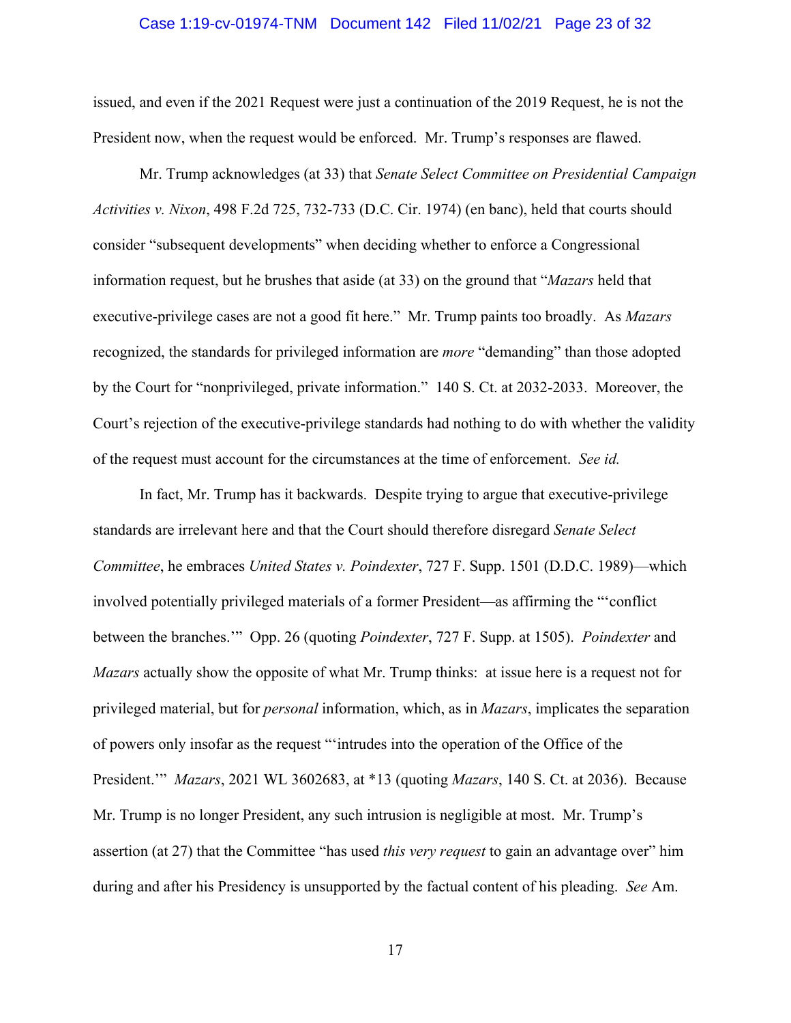#### Case 1:19-cv-01974-TNM Document 142 Filed 11/02/21 Page 23 of 32

<span id="page-22-0"></span>issued, and even if the 2021 Request were just a continuation of the 2019 Request, he is not the President now, when the request would be enforced. Mr. Trump's responses are flawed.

Mr. Trump acknowledges (at 33) that *Senate Select Committee on Presidential Campaign Activities v. Nixon*, 498 F.2d 725, 732-733 (D.C. Cir. 1974) (en banc), held that courts should consider "subsequent developments" when deciding whether to enforce a Congressional information request, but he brushes that aside (at 33) on the ground that "*Mazars* held that executive-privilege cases are not a good fit here." Mr. Trump paints too broadly. As *Mazars*  recognized, the standards for privileged information are *more* "demanding" than those adopted by the Court for "nonprivileged, private information." 140 S. Ct. at 2032-2033. Moreover, the Court's rejection of the executive-privilege standards had nothing to do with whether the validity of the request must account for the circumstances at the time of enforcement. *See id.* 

In fact, Mr. Trump has it backwards. Despite trying to argue that executive-privilege standards are irrelevant here and that the Court should therefore disregard *Senate Select Committee*, he embraces *United States v. Poindexter*, 727 F. Supp. 1501 (D.D.C. 1989)—which involved potentially privileged materials of a former President—as affirming the "'conflict between the branches.'" Opp. 26 (quoting *Poindexter*, 727 F. Supp. at 1505). *Poindexter* and *Mazars* actually show the opposite of what Mr. Trump thinks: at issue here is a request not for privileged material, but for *personal* information, which, as in *Mazars*, implicates the separation of powers only insofar as the request "'intrudes into the operation of the Office of the President.'" *Mazars*, 2021 WL 3602683, at \*13 (quoting *Mazars*, 140 S. Ct. at 2036). Because Mr. Trump is no longer President, any such intrusion is negligible at most. Mr. Trump's assertion (at 27) that the Committee "has used *this very request* to gain an advantage over" him during and after his Presidency is unsupported by the factual content of his pleading. *See* Am.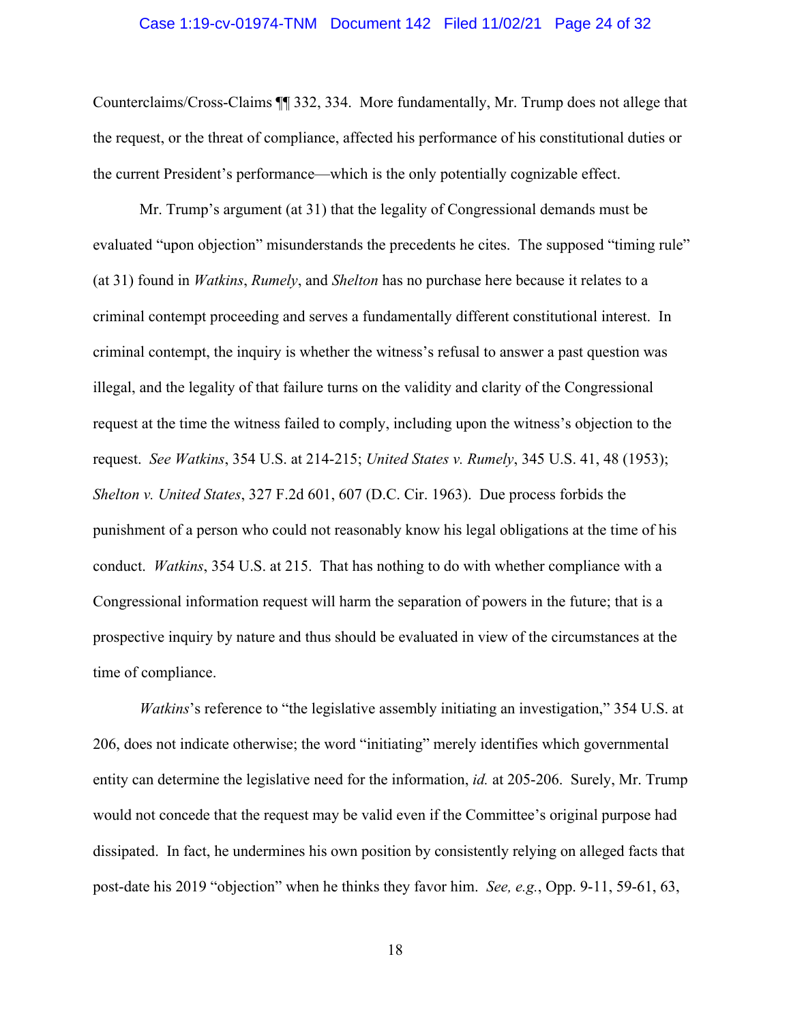#### Case 1:19-cv-01974-TNM Document 142 Filed 11/02/21 Page 24 of 32

<span id="page-23-0"></span>Counterclaims/Cross-Claims ¶¶ 332, 334. More fundamentally, Mr. Trump does not allege that the request, or the threat of compliance, affected his performance of his constitutional duties or the current President's performance—which is the only potentially cognizable effect.

Mr. Trump's argument (at 31) that the legality of Congressional demands must be evaluated "upon objection" misunderstands the precedents he cites. The supposed "timing rule" (at 31) found in *Watkins*, *Rumely*, and *Shelton* has no purchase here because it relates to a criminal contempt proceeding and serves a fundamentally different constitutional interest. In criminal contempt, the inquiry is whether the witness's refusal to answer a past question was illegal, and the legality of that failure turns on the validity and clarity of the Congressional request at the time the witness failed to comply, including upon the witness's objection to the request. *See Watkins*, 354 U.S. at 214-215; *United States v. Rumely*, 345 U.S. 41, 48 (1953); *Shelton v. United States*, 327 F.2d 601, 607 (D.C. Cir. 1963). Due process forbids the punishment of a person who could not reasonably know his legal obligations at the time of his conduct. *Watkins*, 354 U.S. at 215. That has nothing to do with whether compliance with a Congressional information request will harm the separation of powers in the future; that is a prospective inquiry by nature and thus should be evaluated in view of the circumstances at the time of compliance.

*Watkins*'s reference to "the legislative assembly initiating an investigation," 354 U.S. at 206, does not indicate otherwise; the word "initiating" merely identifies which governmental entity can determine the legislative need for the information, *id.* at 205-206. Surely, Mr. Trump would not concede that the request may be valid even if the Committee's original purpose had dissipated. In fact, he undermines his own position by consistently relying on alleged facts that post-date his 2019 "objection" when he thinks they favor him. *See, e.g.*, Opp. 9-11, 59-61, 63,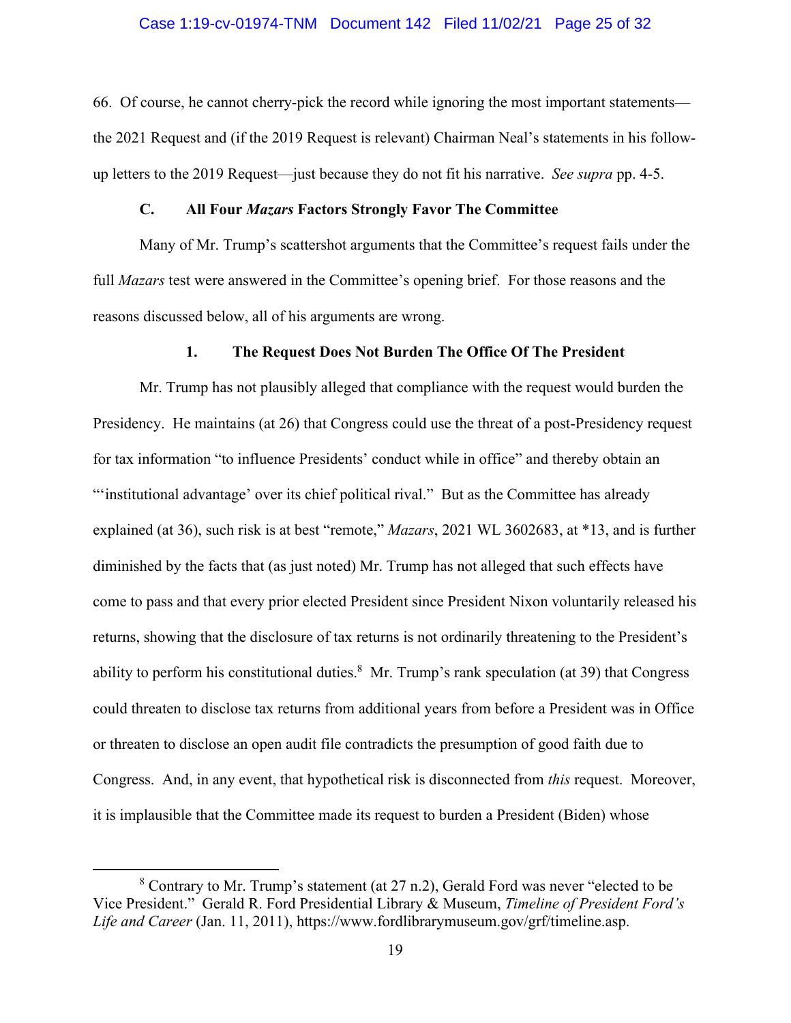66. Of course, he cannot cherry-pick the record while ignoring the most important statements the 2021 Request and (if the 2019 Request is relevant) Chairman Neal's statements in his followup letters to the 2019 Request—just because they do not fit his narrative. *See supra* pp. 4-5.

#### **C. All Four** *Mazars* **Factors Strongly Favor The Committee**

Many of Mr. Trump's scattershot arguments that the Committee's request fails under the full *Mazars* test were answered in the Committee's opening brief. For those reasons and the reasons discussed below, all of his arguments are wrong.

#### **1. The Request Does Not Burden The Office Of The President**

Mr. Trump has not plausibly alleged that compliance with the request would burden the Presidency. He maintains (at 26) that Congress could use the threat of a post-Presidency request for tax information "to influence Presidents' conduct while in office" and thereby obtain an "'institutional advantage' over its chief political rival." But as the Committee has already explained (at 36), such risk is at best "remote," *Mazars*, 2021 WL 3602683, at \*13, and is further diminished by the facts that (as just noted) Mr. Trump has not alleged that such effects have come to pass and that every prior elected President since President Nixon voluntarily released his returns, showing that the disclosure of tax returns is not ordinarily threatening to the President's ability to perform his constitutional duties. $8$  Mr. Trump's rank speculation (at 39) that Congress could threaten to disclose tax returns from additional years from before a President was in Office or threaten to disclose an open audit file contradicts the presumption of good faith due to Congress. And, in any event, that hypothetical risk is disconnected from *this* request. Moreover, it is implausible that the Committee made its request to burden a President (Biden) whose

 $8$  Contrary to Mr. Trump's statement (at 27 n.2), Gerald Ford was never "elected to be Vice President." Gerald R. Ford Presidential Library & Museum, *Timeline of President Ford's Life and Career* (Jan. 11, 2011), [https://www.fordlibrarymuseum.gov/grf/timeline.asp.](https://www.fordlibrarymuseum.gov/grf/timeline.asp)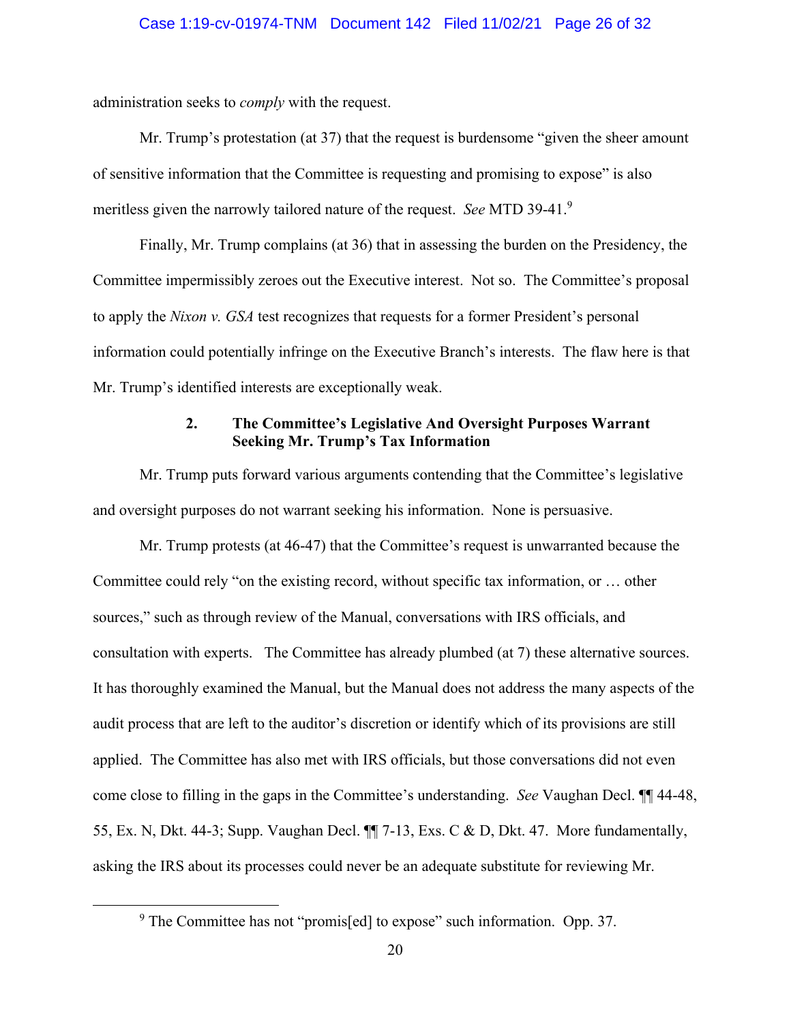<span id="page-25-0"></span>administration seeks to *comply* with the request.

 meritless given the narrowly tailored nature of the request. *See* MTD 39-41.<sup>9</sup> Mr. Trump's protestation (at 37) that the request is burdensome "given the sheer amount of sensitive information that the Committee is requesting and promising to expose" is also

Finally, Mr. Trump complains (at 36) that in assessing the burden on the Presidency, the Committee impermissibly zeroes out the Executive interest. Not so. The Committee's proposal to apply the *Nixon v. GSA* test recognizes that requests for a former President's personal information could potentially infringe on the Executive Branch's interests. The flaw here is that Mr. Trump's identified interests are exceptionally weak.

# **2. The Committee's Legislative And Oversight Purposes Warrant Seeking Mr. Trump's Tax Information**

Mr. Trump puts forward various arguments contending that the Committee's legislative and oversight purposes do not warrant seeking his information. None is persuasive.

 consultation with experts. The Committee has already plumbed (at 7) these alternative sources. It has thoroughly examined the Manual, but the Manual does not address the many aspects of the Mr. Trump protests (at 46-47) that the Committee's request is unwarranted because the Committee could rely "on the existing record, without specific tax information, or … other sources," such as through review of the Manual, conversations with IRS officials, and audit process that are left to the auditor's discretion or identify which of its provisions are still applied. The Committee has also met with IRS officials, but those conversations did not even come close to filling in the gaps in the Committee's understanding. *See* Vaughan Decl. ¶¶ 44-48, 55, Ex. N, Dkt. 44-3; Supp. Vaughan Decl. ¶¶ 7-13, Exs. C & D, Dkt. 47. More fundamentally, asking the IRS about its processes could never be an adequate substitute for reviewing Mr.

 $9$  The Committee has not "promis[ed] to expose" such information. Opp. 37.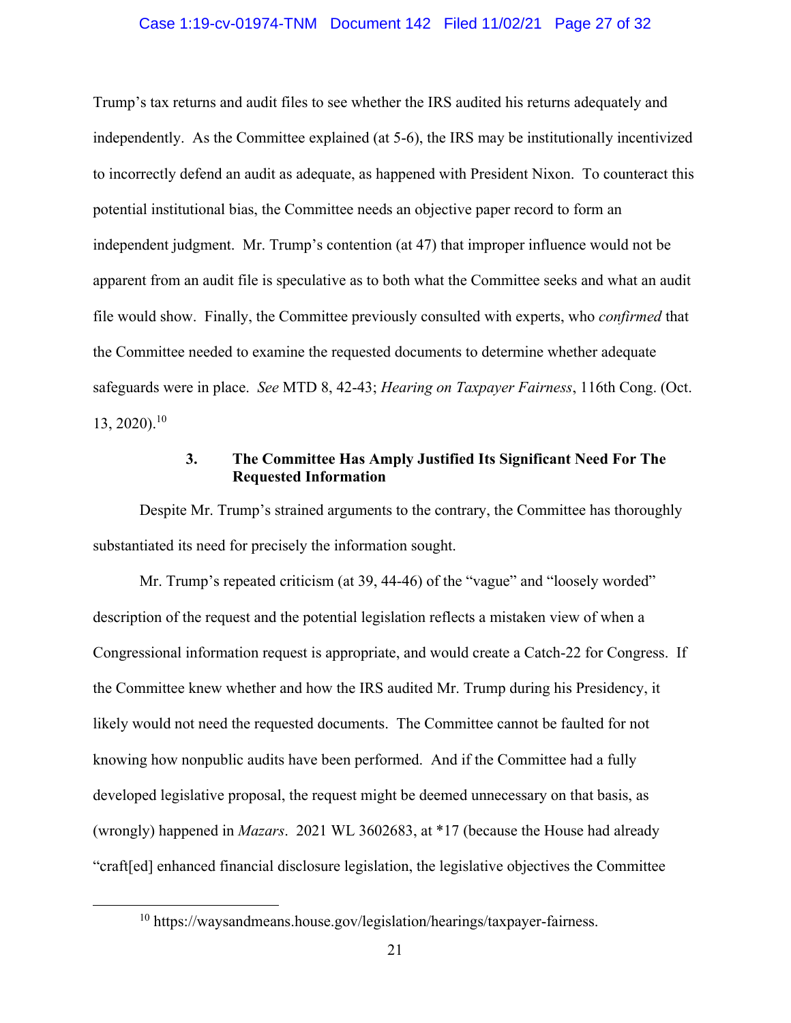#### Case 1:19-cv-01974-TNM Document 142 Filed 11/02/21 Page 27 of 32

<span id="page-26-0"></span> $13, 2020$ .<sup>10</sup> Trump's tax returns and audit files to see whether the IRS audited his returns adequately and independently. As the Committee explained (at 5-6), the IRS may be institutionally incentivized to incorrectly defend an audit as adequate, as happened with President Nixon. To counteract this potential institutional bias, the Committee needs an objective paper record to form an independent judgment. Mr. Trump's contention (at 47) that improper influence would not be apparent from an audit file is speculative as to both what the Committee seeks and what an audit file would show. Finally, the Committee previously consulted with experts, who *confirmed* that the Committee needed to examine the requested documents to determine whether adequate safeguards were in place. *See* MTD 8, 42-43; *Hearing on Taxpayer Fairness*, 116th Cong. (Oct.

## **3. The Committee Has Amply Justified Its Significant Need For The Requested Information**

Despite Mr. Trump's strained arguments to the contrary, the Committee has thoroughly substantiated its need for precisely the information sought.

Mr. Trump's repeated criticism (at 39, 44-46) of the "vague" and "loosely worded" description of the request and the potential legislation reflects a mistaken view of when a Congressional information request is appropriate, and would create a Catch-22 for Congress. If the Committee knew whether and how the IRS audited Mr. Trump during his Presidency, it likely would not need the requested documents. The Committee cannot be faulted for not knowing how nonpublic audits have been performed. And if the Committee had a fully developed legislative proposal, the request might be deemed unnecessary on that basis, as (wrongly) happened in *Mazars*. 2021 WL 3602683, at \*17 (because the House had already "craft[ed] enhanced financial disclosure legislation, the legislative objectives the Committee

<sup>&</sup>lt;sup>10</sup><https://waysandmeans.house.gov/legislation/hearings/taxpayer-fairness>.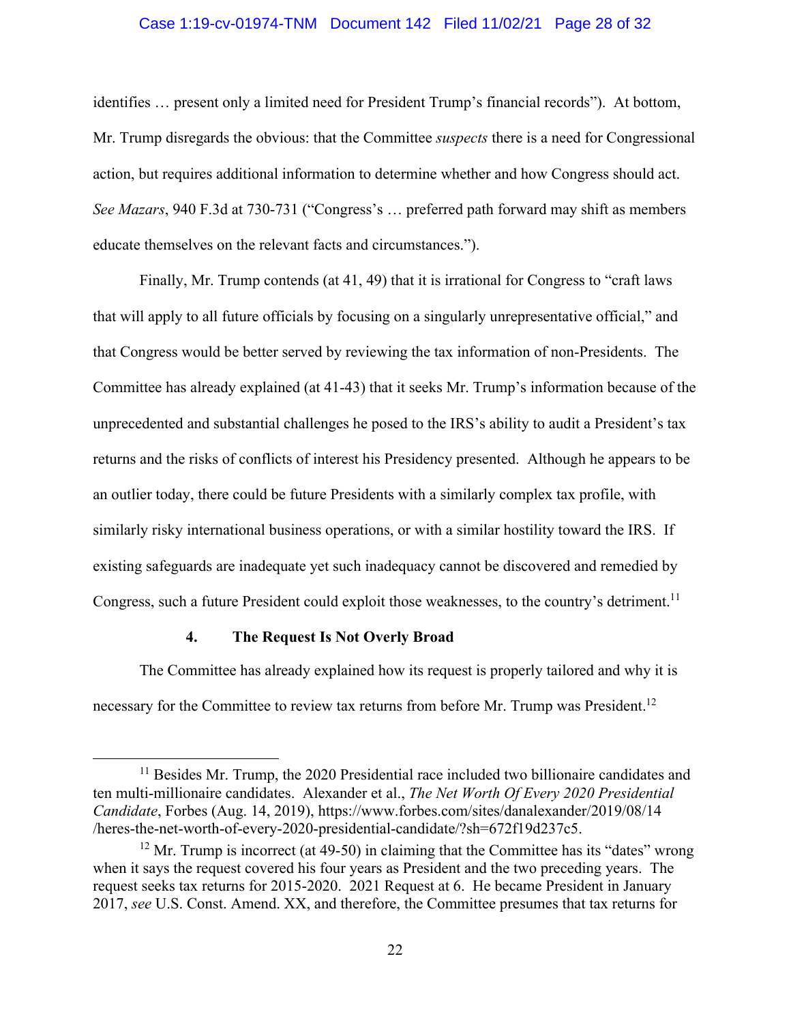#### Case 1:19-cv-01974-TNM Document 142 Filed 11/02/21 Page 28 of 32

<span id="page-27-0"></span>identifies … present only a limited need for President Trump's financial records"). At bottom, Mr. Trump disregards the obvious: that the Committee *suspects* there is a need for Congressional action, but requires additional information to determine whether and how Congress should act. *See Mazars*, 940 F.3d at 730-731 ("Congress's … preferred path forward may shift as members educate themselves on the relevant facts and circumstances.").

Congress, such a future President could exploit those weaknesses, to the country's detriment.<sup>11</sup> Finally, Mr. Trump contends (at 41, 49) that it is irrational for Congress to "craft laws that will apply to all future officials by focusing on a singularly unrepresentative official," and that Congress would be better served by reviewing the tax information of non-Presidents. The Committee has already explained (at 41-43) that it seeks Mr. Trump's information because of the unprecedented and substantial challenges he posed to the IRS's ability to audit a President's tax returns and the risks of conflicts of interest his Presidency presented. Although he appears to be an outlier today, there could be future Presidents with a similarly complex tax profile, with similarly risky international business operations, or with a similar hostility toward the IRS. If existing safeguards are inadequate yet such inadequacy cannot be discovered and remedied by

## **4. The Request Is Not Overly Broad**

necessary for the Committee to review tax returns from before Mr. Trump was President.<sup>12</sup> The Committee has already explained how its request is properly tailored and why it is

<sup>&</sup>lt;sup>11</sup> Besides Mr. Trump, the 2020 Presidential race included two billionaire candidates and ten multi-millionaire candidates. Alexander et al., *The Net Worth Of Every 2020 Presidential Candidate*, Forbes (Aug. 14, 2019),<https://www.forbes.com/sites/danalexander/2019/08/14> /heres-the-net-worth-of-every-2020-presidential-candidate/?sh=672f19d237c5.

 $12$  Mr. Trump is incorrect (at 49-50) in claiming that the Committee has its "dates" wrong when it says the request covered his four years as President and the two preceding years. The request seeks tax returns for 2015-2020. 2021 Request at 6. He became President in January 2017, *see* U.S. Const. Amend. XX, and therefore, the Committee presumes that tax returns for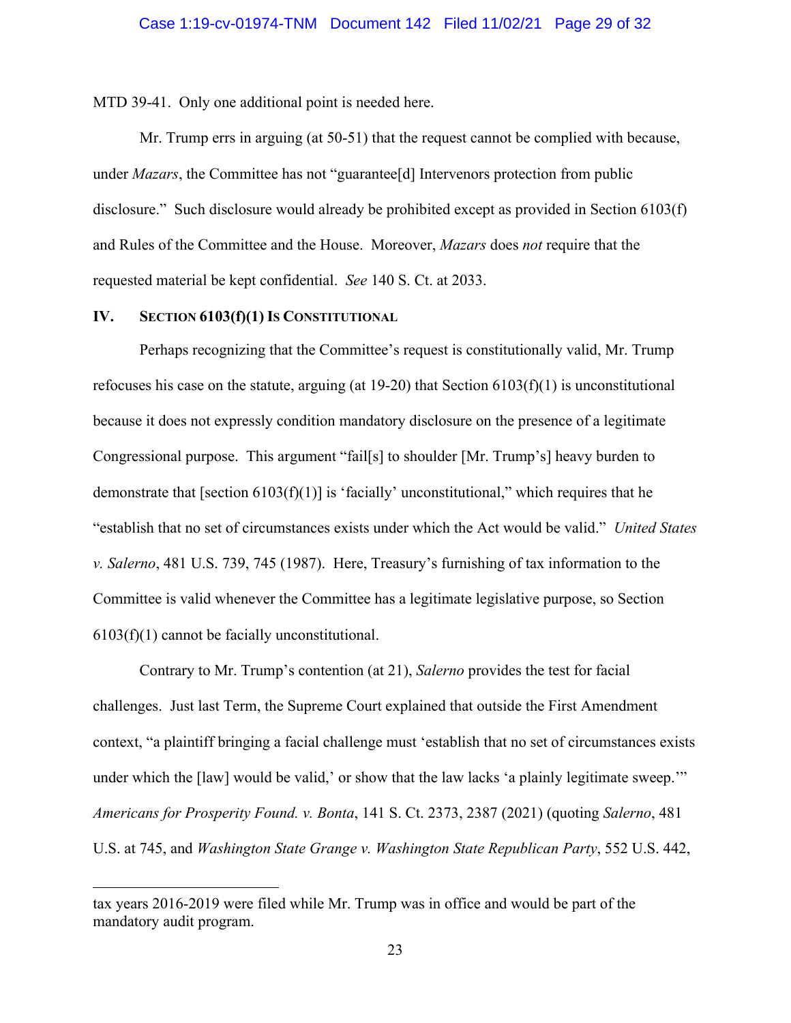<span id="page-28-0"></span>MTD 39-41. Only one additional point is needed here.

Mr. Trump errs in arguing (at 50-51) that the request cannot be complied with because, under *Mazars*, the Committee has not "guarantee[d] Intervenors protection from public disclosure." Such disclosure would already be prohibited except as provided in Section 6103(f) and Rules of the Committee and the House. Moreover, *Mazars* does *not* require that the requested material be kept confidential. *See* 140 S. Ct. at 2033.

## **IV. SECTION 6103(f)(1) IS CONSTITUTIONAL**

Perhaps recognizing that the Committee's request is constitutionally valid, Mr. Trump refocuses his case on the statute, arguing (at 19-20) that Section 6103(f)(1) is unconstitutional because it does not expressly condition mandatory disclosure on the presence of a legitimate Congressional purpose. This argument "fail[s] to shoulder [Mr. Trump's] heavy burden to demonstrate that [section  $6103(f)(1)$ ] is 'facially' unconstitutional," which requires that he "establish that no set of circumstances exists under which the Act would be valid." *United States v. Salerno*, 481 U.S. 739, 745 (1987). Here, Treasury's furnishing of tax information to the Committee is valid whenever the Committee has a legitimate legislative purpose, so Section 6103(f)(1) cannot be facially unconstitutional.

Contrary to Mr. Trump's contention (at 21), *Salerno* provides the test for facial challenges. Just last Term, the Supreme Court explained that outside the First Amendment context, "a plaintiff bringing a facial challenge must 'establish that no set of circumstances exists under which the [law] would be valid,' or show that the law lacks 'a plainly legitimate sweep." *Americans for Prosperity Found. v. Bonta*, 141 S. Ct. 2373, 2387 (2021) (quoting *Salerno*, 481 U.S. at 745, and *Washington State Grange v. Washington State Republican Party*, 552 U.S. 442,

tax years 2016-2019 were filed while Mr. Trump was in office and would be part of the mandatory audit program.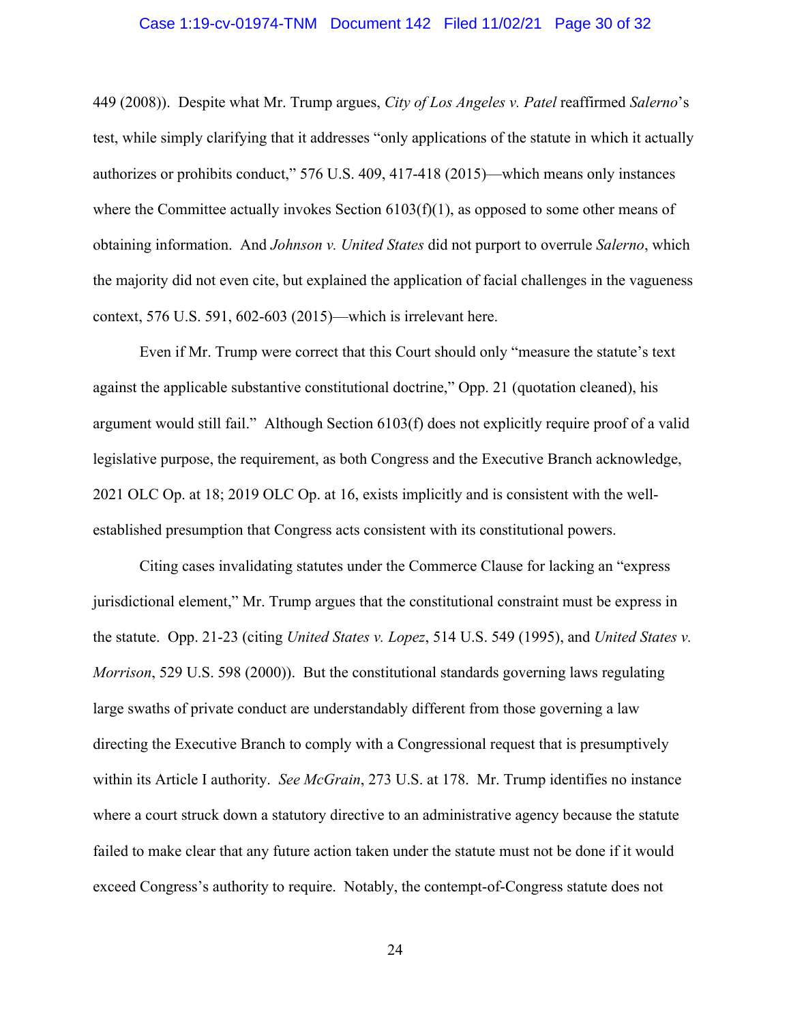#### Case 1:19-cv-01974-TNM Document 142 Filed 11/02/21 Page 30 of 32

<span id="page-29-0"></span>449 (2008)). Despite what Mr. Trump argues, *City of Los Angeles v. Patel* reaffirmed *Salerno*'s test, while simply clarifying that it addresses "only applications of the statute in which it actually authorizes or prohibits conduct," 576 U.S. 409, 417-418 (2015)—which means only instances where the Committee actually invokes Section 6103(f)(1), as opposed to some other means of obtaining information. And *Johnson v. United States* did not purport to overrule *Salerno*, which the majority did not even cite, but explained the application of facial challenges in the vagueness context, 576 U.S. 591, 602-603 (2015)—which is irrelevant here.

Even if Mr. Trump were correct that this Court should only "measure the statute's text against the applicable substantive constitutional doctrine," Opp. 21 (quotation cleaned), his argument would still fail." Although Section 6103(f) does not explicitly require proof of a valid legislative purpose, the requirement, as both Congress and the Executive Branch acknowledge, 2021 OLC Op. at 18; 2019 OLC Op. at 16, exists implicitly and is consistent with the wellestablished presumption that Congress acts consistent with its constitutional powers.

Citing cases invalidating statutes under the Commerce Clause for lacking an "express jurisdictional element," Mr. Trump argues that the constitutional constraint must be express in the statute. Opp. 21-23 (citing *United States v. Lopez*, 514 U.S. 549 (1995), and *United States v. Morrison*, 529 U.S. 598 (2000)). But the constitutional standards governing laws regulating large swaths of private conduct are understandably different from those governing a law directing the Executive Branch to comply with a Congressional request that is presumptively within its Article I authority. *See McGrain*, 273 U.S. at 178. Mr. Trump identifies no instance where a court struck down a statutory directive to an administrative agency because the statute failed to make clear that any future action taken under the statute must not be done if it would exceed Congress's authority to require. Notably, the contempt-of-Congress statute does not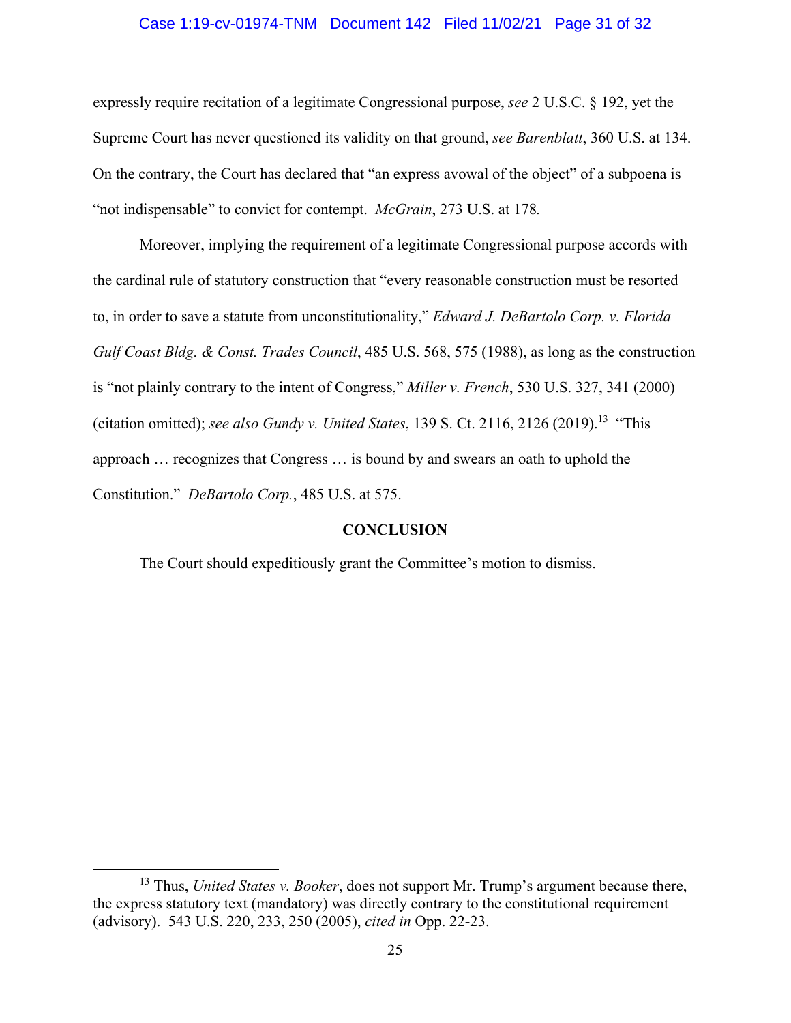#### Case 1:19-cv-01974-TNM Document 142 Filed 11/02/21 Page 31 of 32

<span id="page-30-0"></span> "not indispensable" to convict for contempt. *McGrain*, 273 U.S. at 178*.* expressly require recitation of a legitimate Congressional purpose, *see* 2 U.S.C. § 192, yet the Supreme Court has never questioned its validity on that ground, *see Barenblatt*, 360 U.S. at 134. On the contrary, the Court has declared that "an express avowal of the object" of a subpoena is

Moreover, implying the requirement of a legitimate Congressional purpose accords with the cardinal rule of statutory construction that "every reasonable construction must be resorted to, in order to save a statute from unconstitutionality," *Edward J. DeBartolo Corp. v. Florida Gulf Coast Bldg. & Const. Trades Council*, 485 U.S. 568, 575 (1988), as long as the construction is "not plainly contrary to the intent of Congress," *Miller v. French*, 530 U.S. 327, 341 (2000) (citation omitted); *see also Gundy v. United States*, 139 S. Ct. 2116, 2126 [\(2019\).13](https://2019).13) "This approach … recognizes that Congress … is bound by and swears an oath to uphold the Constitution." *DeBartolo Corp.*, 485 U.S. at 575.

#### **CONCLUSION**

The Court should expeditiously grant the Committee's motion to dismiss.

<sup>13</sup> Thus, *United States v. Booker*, does not support Mr. Trump's argument because there, the express statutory text (mandatory) was directly contrary to the constitutional requirement (advisory). 543 U.S. 220, 233, 250 (2005), *cited in* Opp. 22-23.